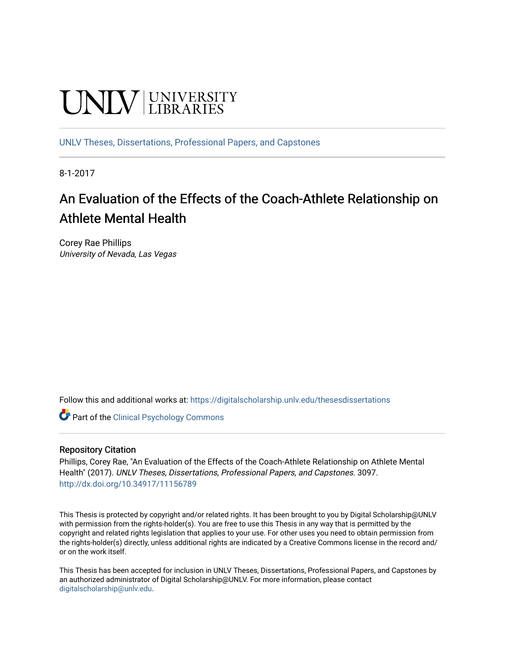# **UNIVERSITY**

[UNLV Theses, Dissertations, Professional Papers, and Capstones](https://digitalscholarship.unlv.edu/thesesdissertations)

8-1-2017

## An Evaluation of the Effects of the Coach-Athlete Relationship on Athlete Mental Health

Corey Rae Phillips University of Nevada, Las Vegas

Follow this and additional works at: [https://digitalscholarship.unlv.edu/thesesdissertations](https://digitalscholarship.unlv.edu/thesesdissertations?utm_source=digitalscholarship.unlv.edu%2Fthesesdissertations%2F3097&utm_medium=PDF&utm_campaign=PDFCoverPages)

**C** Part of the Clinical Psychology Commons

#### Repository Citation

Phillips, Corey Rae, "An Evaluation of the Effects of the Coach-Athlete Relationship on Athlete Mental Health" (2017). UNLV Theses, Dissertations, Professional Papers, and Capstones. 3097. <http://dx.doi.org/10.34917/11156789>

This Thesis is protected by copyright and/or related rights. It has been brought to you by Digital Scholarship@UNLV with permission from the rights-holder(s). You are free to use this Thesis in any way that is permitted by the copyright and related rights legislation that applies to your use. For other uses you need to obtain permission from the rights-holder(s) directly, unless additional rights are indicated by a Creative Commons license in the record and/ or on the work itself.

This Thesis has been accepted for inclusion in UNLV Theses, Dissertations, Professional Papers, and Capstones by an authorized administrator of Digital Scholarship@UNLV. For more information, please contact [digitalscholarship@unlv.edu](mailto:digitalscholarship@unlv.edu).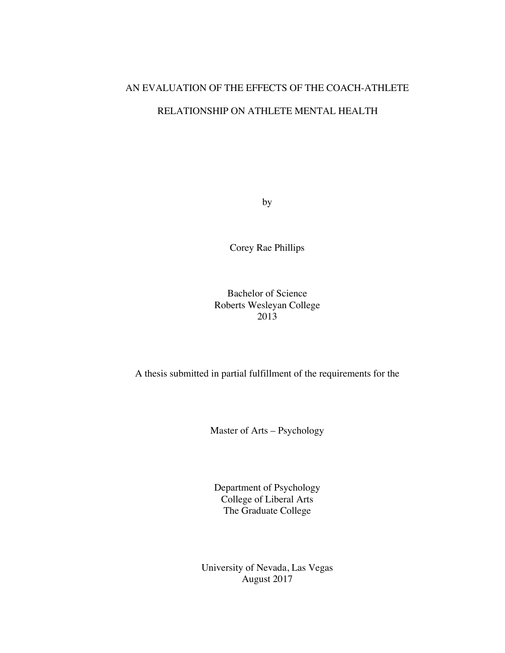## AN EVALUATION OF THE EFFECTS OF THE COACH-ATHLETE

## RELATIONSHIP ON ATHLETE MENTAL HEALTH

by

Corey Rae Phillips

## Bachelor of Science Roberts Wesleyan College 2013

A thesis submitted in partial fulfillment of the requirements for the

Master of Arts – Psychology

Department of Psychology College of Liberal Arts The Graduate College

University of Nevada, Las Vegas August 2017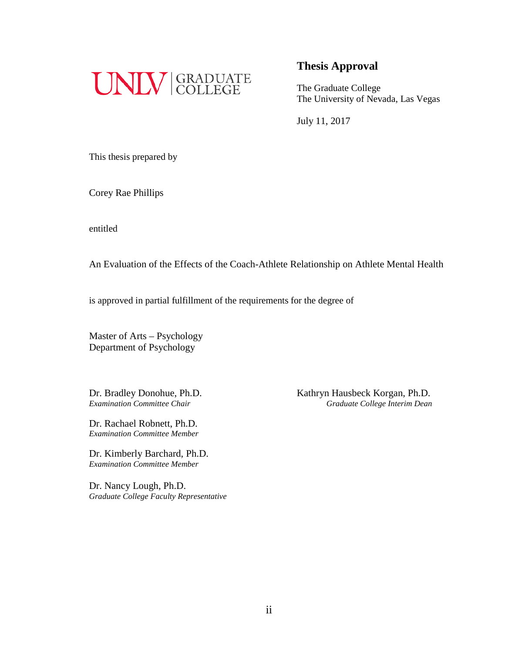

## **Thesis Approval**

The Graduate College The University of Nevada, Las Vegas

July 11, 2017

This thesis prepared by

Corey Rae Phillips

entitled

An Evaluation of the Effects of the Coach-Athlete Relationship on Athlete Mental Health

is approved in partial fulfillment of the requirements for the degree of

Master of Arts – Psychology Department of Psychology

Dr. Rachael Robnett, Ph.D. *Examination Committee Member*

Dr. Kimberly Barchard, Ph.D. *Examination Committee Member*

Dr. Nancy Lough, Ph.D. *Graduate College Faculty Representative*

Dr. Bradley Donohue, Ph.D.<br>
Examination Committee Chair<br>
Graduate College Interim Dean *Examination Committee Chair Graduate College Interim Dean*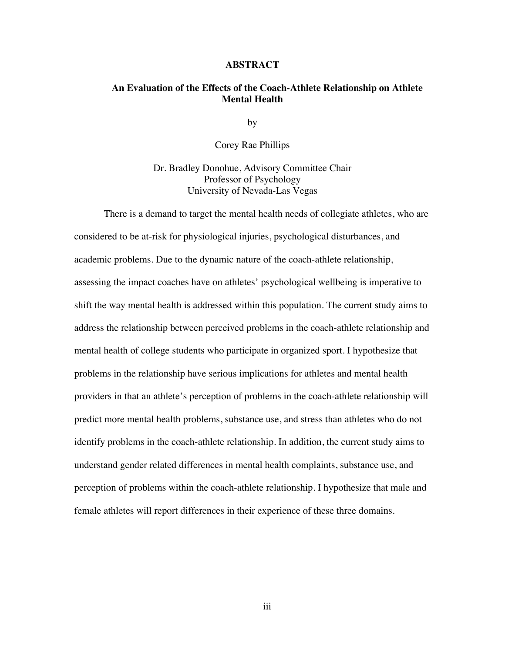#### **ABSTRACT**

## **An Evaluation of the Effects of the Coach-Athlete Relationship on Athlete Mental Health**

by

Corey Rae Phillips

Dr. Bradley Donohue, Advisory Committee Chair Professor of Psychology University of Nevada-Las Vegas

There is a demand to target the mental health needs of collegiate athletes, who are considered to be at-risk for physiological injuries, psychological disturbances, and academic problems. Due to the dynamic nature of the coach-athlete relationship, assessing the impact coaches have on athletes' psychological wellbeing is imperative to shift the way mental health is addressed within this population. The current study aims to address the relationship between perceived problems in the coach-athlete relationship and mental health of college students who participate in organized sport. I hypothesize that problems in the relationship have serious implications for athletes and mental health providers in that an athlete's perception of problems in the coach-athlete relationship will predict more mental health problems, substance use, and stress than athletes who do not identify problems in the coach-athlete relationship. In addition, the current study aims to understand gender related differences in mental health complaints, substance use, and perception of problems within the coach-athlete relationship. I hypothesize that male and female athletes will report differences in their experience of these three domains.

iii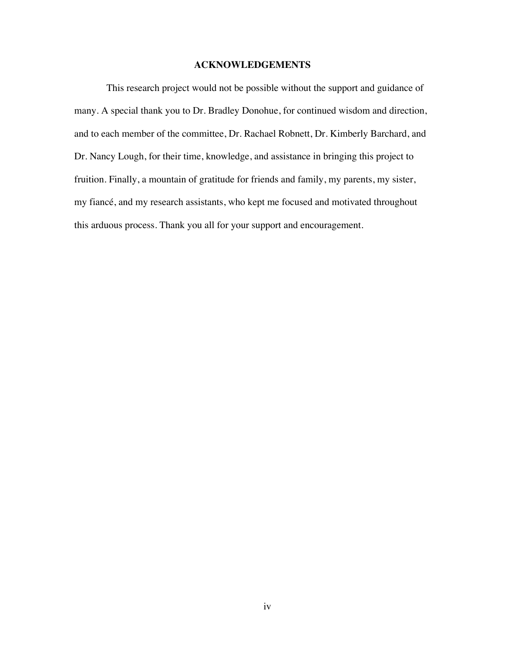#### **ACKNOWLEDGEMENTS**

This research project would not be possible without the support and guidance of many. A special thank you to Dr. Bradley Donohue, for continued wisdom and direction, and to each member of the committee, Dr. Rachael Robnett, Dr. Kimberly Barchard, and Dr. Nancy Lough, for their time, knowledge, and assistance in bringing this project to fruition. Finally, a mountain of gratitude for friends and family, my parents, my sister, my fiancé, and my research assistants, who kept me focused and motivated throughout this arduous process. Thank you all for your support and encouragement.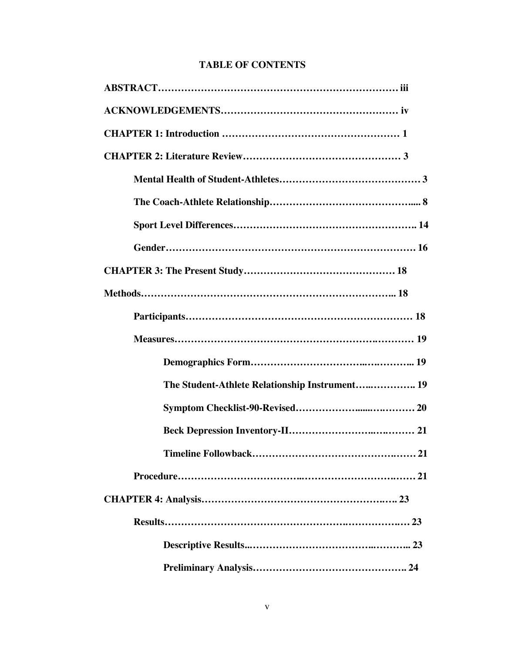## **TABLE OF CONTENTS**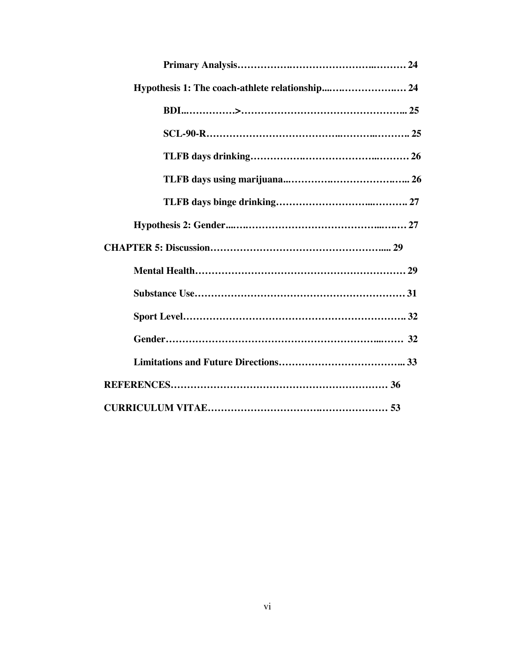| Hypothesis 1: The coach-athlete relationship 24 |
|-------------------------------------------------|
|                                                 |
|                                                 |
|                                                 |
|                                                 |
|                                                 |
|                                                 |
|                                                 |
|                                                 |
|                                                 |
|                                                 |
|                                                 |
|                                                 |
|                                                 |
|                                                 |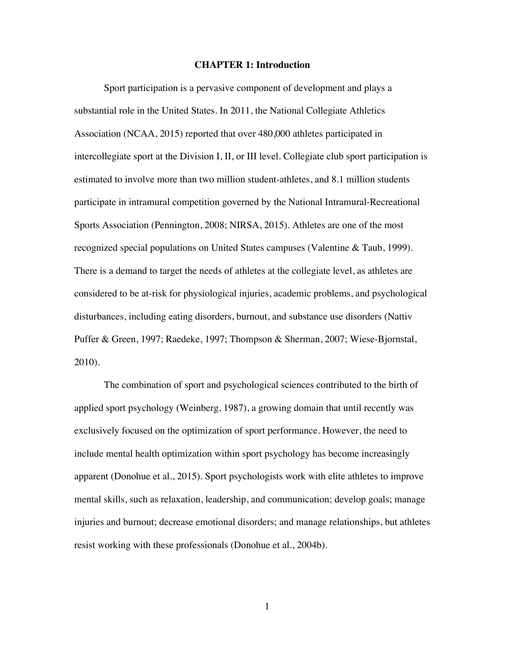#### **CHAPTER 1: Introduction**

Sport participation is a pervasive component of development and plays a substantial role in the United States. In 2011, the National Collegiate Athletics Association (NCAA, 2015) reported that over 480,000 athletes participated in intercollegiate sport at the Division I, II, or III level. Collegiate club sport participation is estimated to involve more than two million student-athletes, and 8.1 million students participate in intramural competition governed by the National Intramural-Recreational Sports Association (Pennington, 2008; NIRSA, 2015). Athletes are one of the most recognized special populations on United States campuses (Valentine & Taub, 1999). There is a demand to target the needs of athletes at the collegiate level, as athletes are considered to be at-risk for physiological injuries, academic problems, and psychological disturbances, including eating disorders, burnout, and substance use disorders (Nattiv Puffer & Green, 1997; Raedeke, 1997; Thompson & Sherman, 2007; Wiese-Bjornstal, 2010).

The combination of sport and psychological sciences contributed to the birth of applied sport psychology (Weinberg, 1987), a growing domain that until recently was exclusively focused on the optimization of sport performance. However, the need to include mental health optimization within sport psychology has become increasingly apparent (Donohue et al., 2015). Sport psychologists work with elite athletes to improve mental skills, such as relaxation, leadership, and communication; develop goals; manage injuries and burnout; decrease emotional disorders; and manage relationships, but athletes resist working with these professionals (Donohue et al., 2004b).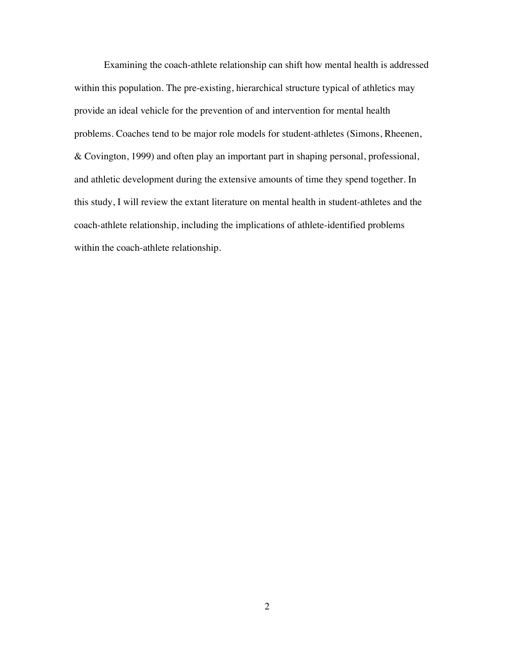Examining the coach-athlete relationship can shift how mental health is addressed within this population. The pre-existing, hierarchical structure typical of athletics may provide an ideal vehicle for the prevention of and intervention for mental health problems. Coaches tend to be major role models for student-athletes (Simons, Rheenen, & Covington, 1999) and often play an important part in shaping personal, professional, and athletic development during the extensive amounts of time they spend together. In this study, I will review the extant literature on mental health in student-athletes and the coach-athlete relationship, including the implications of athlete-identified problems within the coach-athlete relationship.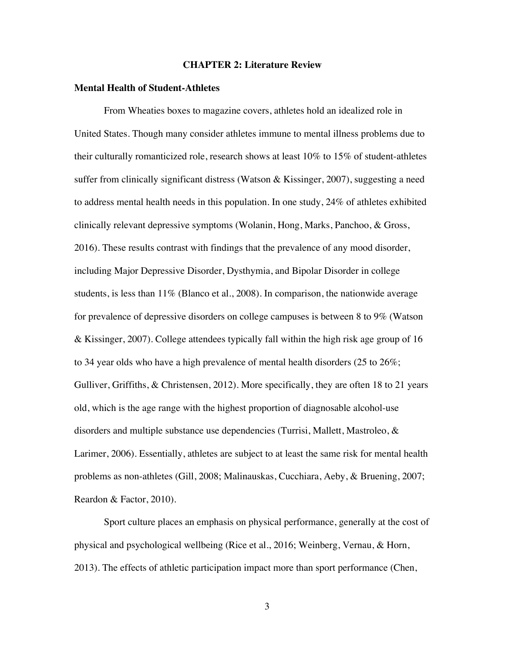#### **CHAPTER 2: Literature Review**

#### **Mental Health of Student-Athletes**

From Wheaties boxes to magazine covers, athletes hold an idealized role in United States. Though many consider athletes immune to mental illness problems due to their culturally romanticized role, research shows at least 10% to 15% of student-athletes suffer from clinically significant distress (Watson & Kissinger, 2007), suggesting a need to address mental health needs in this population. In one study, 24% of athletes exhibited clinically relevant depressive symptoms (Wolanin, Hong, Marks, Panchoo, & Gross, 2016). These results contrast with findings that the prevalence of any mood disorder, including Major Depressive Disorder, Dysthymia, and Bipolar Disorder in college students, is less than  $11\%$  (Blanco et al., 2008). In comparison, the nationwide average for prevalence of depressive disorders on college campuses is between 8 to 9% (Watson & Kissinger, 2007). College attendees typically fall within the high risk age group of 16 to 34 year olds who have a high prevalence of mental health disorders (25 to 26%; Gulliver, Griffiths, & Christensen, 2012). More specifically, they are often 18 to 21 years old, which is the age range with the highest proportion of diagnosable alcohol-use disorders and multiple substance use dependencies (Turrisi, Mallett, Mastroleo, & Larimer, 2006). Essentially, athletes are subject to at least the same risk for mental health problems as non-athletes (Gill, 2008; Malinauskas, Cucchiara, Aeby, & Bruening, 2007; Reardon & Factor, 2010).

Sport culture places an emphasis on physical performance, generally at the cost of physical and psychological wellbeing (Rice et al., 2016; Weinberg, Vernau, & Horn, 2013). The effects of athletic participation impact more than sport performance (Chen,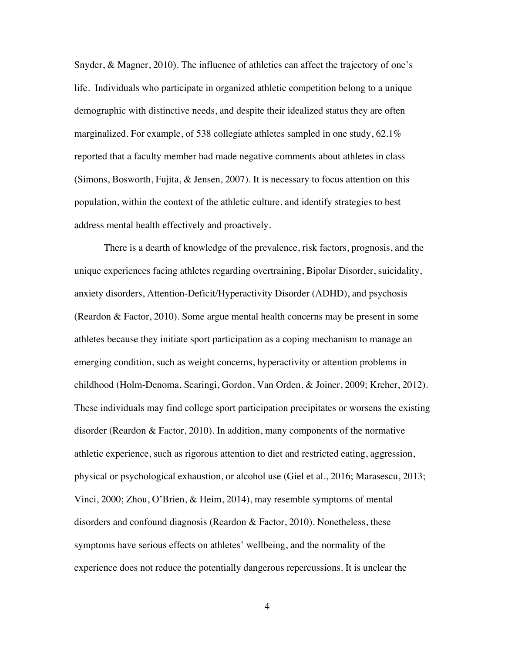Snyder, & Magner, 2010). The influence of athletics can affect the trajectory of one's life. Individuals who participate in organized athletic competition belong to a unique demographic with distinctive needs, and despite their idealized status they are often marginalized. For example, of 538 collegiate athletes sampled in one study, 62.1% reported that a faculty member had made negative comments about athletes in class (Simons, Bosworth, Fujita, & Jensen, 2007). It is necessary to focus attention on this population, within the context of the athletic culture, and identify strategies to best address mental health effectively and proactively.

There is a dearth of knowledge of the prevalence, risk factors, prognosis, and the unique experiences facing athletes regarding overtraining, Bipolar Disorder, suicidality, anxiety disorders, Attention-Deficit/Hyperactivity Disorder (ADHD), and psychosis (Reardon & Factor, 2010). Some argue mental health concerns may be present in some athletes because they initiate sport participation as a coping mechanism to manage an emerging condition, such as weight concerns, hyperactivity or attention problems in childhood (Holm-Denoma, Scaringi, Gordon, Van Orden, & Joiner, 2009; Kreher, 2012). These individuals may find college sport participation precipitates or worsens the existing disorder (Reardon & Factor, 2010). In addition, many components of the normative athletic experience, such as rigorous attention to diet and restricted eating, aggression, physical or psychological exhaustion, or alcohol use (Giel et al., 2016; Marasescu, 2013; Vinci, 2000; Zhou, O'Brien, & Heim, 2014), may resemble symptoms of mental disorders and confound diagnosis (Reardon  $\&$  Factor, 2010). Nonetheless, these symptoms have serious effects on athletes' wellbeing, and the normality of the experience does not reduce the potentially dangerous repercussions. It is unclear the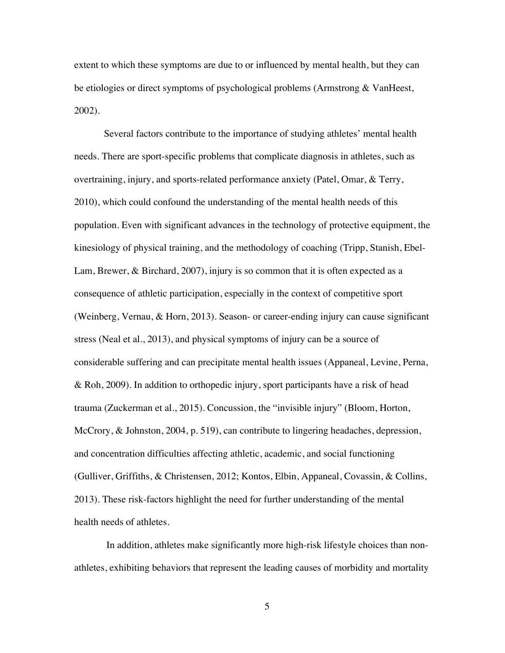extent to which these symptoms are due to or influenced by mental health, but they can be etiologies or direct symptoms of psychological problems (Armstrong & VanHeest, 2002).

Several factors contribute to the importance of studying athletes' mental health needs. There are sport-specific problems that complicate diagnosis in athletes, such as overtraining, injury, and sports-related performance anxiety (Patel, Omar, & Terry, 2010), which could confound the understanding of the mental health needs of this population. Even with significant advances in the technology of protective equipment, the kinesiology of physical training, and the methodology of coaching (Tripp, Stanish, Ebel-Lam, Brewer, & Birchard, 2007), injury is so common that it is often expected as a consequence of athletic participation, especially in the context of competitive sport (Weinberg, Vernau, & Horn, 2013). Season- or career-ending injury can cause significant stress (Neal et al., 2013), and physical symptoms of injury can be a source of considerable suffering and can precipitate mental health issues (Appaneal, Levine, Perna, & Roh, 2009). In addition to orthopedic injury, sport participants have a risk of head trauma (Zuckerman et al., 2015). Concussion, the "invisible injury" (Bloom, Horton, McCrory, & Johnston, 2004, p. 519), can contribute to lingering headaches, depression, and concentration difficulties affecting athletic, academic, and social functioning (Gulliver, Griffiths, & Christensen, 2012; Kontos, Elbin, Appaneal, Covassin, & Collins, 2013). These risk-factors highlight the need for further understanding of the mental health needs of athletes.

In addition, athletes make significantly more high-risk lifestyle choices than nonathletes, exhibiting behaviors that represent the leading causes of morbidity and mortality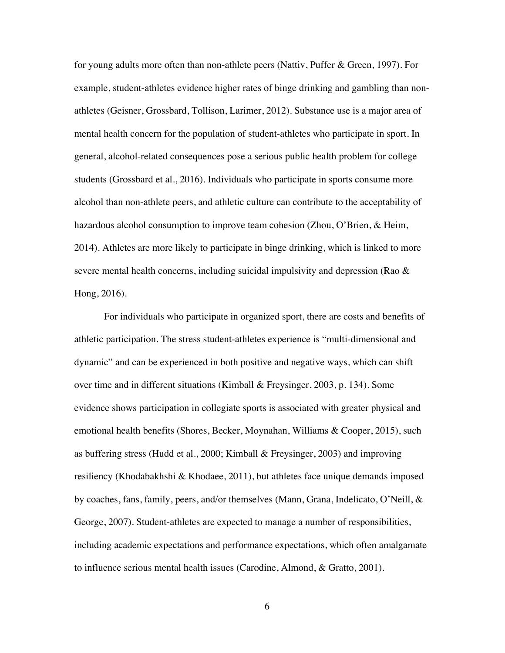for young adults more often than non-athlete peers (Nattiv, Puffer & Green, 1997). For example, student-athletes evidence higher rates of binge drinking and gambling than nonathletes (Geisner, Grossbard, Tollison, Larimer, 2012). Substance use is a major area of mental health concern for the population of student-athletes who participate in sport. In general, alcohol-related consequences pose a serious public health problem for college students (Grossbard et al., 2016). Individuals who participate in sports consume more alcohol than non-athlete peers, and athletic culture can contribute to the acceptability of hazardous alcohol consumption to improve team cohesion (Zhou, O'Brien, & Heim, 2014). Athletes are more likely to participate in binge drinking, which is linked to more severe mental health concerns, including suicidal impulsivity and depression (Rao & Hong, 2016).

For individuals who participate in organized sport, there are costs and benefits of athletic participation. The stress student-athletes experience is "multi-dimensional and dynamic" and can be experienced in both positive and negative ways, which can shift over time and in different situations (Kimball & Freysinger, 2003, p. 134). Some evidence shows participation in collegiate sports is associated with greater physical and emotional health benefits (Shores, Becker, Moynahan, Williams & Cooper, 2015), such as buffering stress (Hudd et al., 2000; Kimball & Freysinger, 2003) and improving resiliency (Khodabakhshi & Khodaee, 2011), but athletes face unique demands imposed by coaches, fans, family, peers, and/or themselves (Mann, Grana, Indelicato, O'Neill, & George, 2007). Student-athletes are expected to manage a number of responsibilities, including academic expectations and performance expectations, which often amalgamate to influence serious mental health issues (Carodine, Almond, & Gratto, 2001).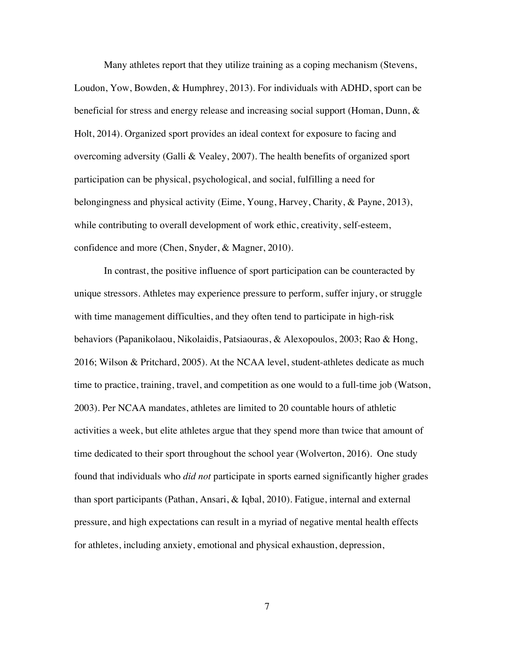Many athletes report that they utilize training as a coping mechanism (Stevens, Loudon, Yow, Bowden, & Humphrey, 2013). For individuals with ADHD, sport can be beneficial for stress and energy release and increasing social support (Homan, Dunn,  $\&$ Holt, 2014). Organized sport provides an ideal context for exposure to facing and overcoming adversity (Galli & Vealey, 2007). The health benefits of organized sport participation can be physical, psychological, and social, fulfilling a need for belongingness and physical activity (Eime, Young, Harvey, Charity, & Payne, 2013), while contributing to overall development of work ethic, creativity, self-esteem, confidence and more (Chen, Snyder, & Magner, 2010).

In contrast, the positive influence of sport participation can be counteracted by unique stressors. Athletes may experience pressure to perform, suffer injury, or struggle with time management difficulties, and they often tend to participate in high-risk behaviors (Papanikolaou, Nikolaidis, Patsiaouras, & Alexopoulos, 2003; Rao & Hong, 2016; Wilson & Pritchard, 2005). At the NCAA level, student-athletes dedicate as much time to practice, training, travel, and competition as one would to a full-time job (Watson, 2003). Per NCAA mandates, athletes are limited to 20 countable hours of athletic activities a week, but elite athletes argue that they spend more than twice that amount of time dedicated to their sport throughout the school year (Wolverton, 2016). One study found that individuals who *did not* participate in sports earned significantly higher grades than sport participants (Pathan, Ansari, & Iqbal, 2010). Fatigue, internal and external pressure, and high expectations can result in a myriad of negative mental health effects for athletes, including anxiety, emotional and physical exhaustion, depression,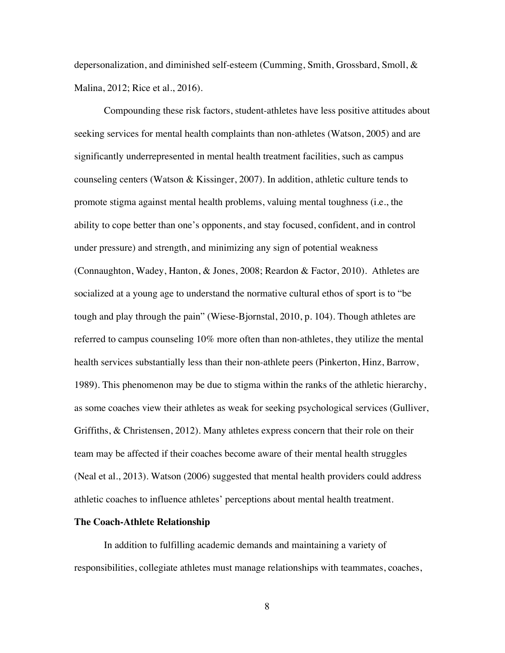depersonalization, and diminished self-esteem (Cumming, Smith, Grossbard, Smoll, & Malina, 2012; Rice et al., 2016).

Compounding these risk factors, student-athletes have less positive attitudes about seeking services for mental health complaints than non-athletes (Watson, 2005) and are significantly underrepresented in mental health treatment facilities, such as campus counseling centers (Watson & Kissinger, 2007). In addition, athletic culture tends to promote stigma against mental health problems, valuing mental toughness (i.e., the ability to cope better than one's opponents, and stay focused, confident, and in control under pressure) and strength, and minimizing any sign of potential weakness (Connaughton, Wadey, Hanton, & Jones, 2008; Reardon & Factor, 2010). Athletes are socialized at a young age to understand the normative cultural ethos of sport is to "be tough and play through the pain" (Wiese-Bjornstal, 2010, p. 104). Though athletes are referred to campus counseling 10% more often than non-athletes, they utilize the mental health services substantially less than their non-athlete peers (Pinkerton, Hinz, Barrow, 1989). This phenomenon may be due to stigma within the ranks of the athletic hierarchy, as some coaches view their athletes as weak for seeking psychological services (Gulliver, Griffiths, & Christensen, 2012). Many athletes express concern that their role on their team may be affected if their coaches become aware of their mental health struggles (Neal et al., 2013). Watson (2006) suggested that mental health providers could address athletic coaches to influence athletes' perceptions about mental health treatment.

#### **The Coach-Athlete Relationship**

In addition to fulfilling academic demands and maintaining a variety of responsibilities, collegiate athletes must manage relationships with teammates, coaches,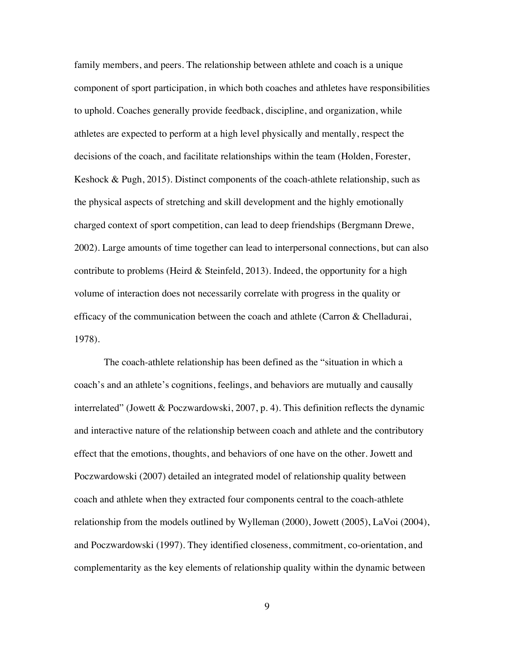family members, and peers. The relationship between athlete and coach is a unique component of sport participation, in which both coaches and athletes have responsibilities to uphold. Coaches generally provide feedback, discipline, and organization, while athletes are expected to perform at a high level physically and mentally, respect the decisions of the coach, and facilitate relationships within the team (Holden, Forester, Keshock & Pugh, 2015). Distinct components of the coach-athlete relationship, such as the physical aspects of stretching and skill development and the highly emotionally charged context of sport competition, can lead to deep friendships (Bergmann Drewe, 2002). Large amounts of time together can lead to interpersonal connections, but can also contribute to problems (Heird  $\&$  Steinfeld, 2013). Indeed, the opportunity for a high volume of interaction does not necessarily correlate with progress in the quality or efficacy of the communication between the coach and athlete (Carron & Chelladurai, 1978).

The coach-athlete relationship has been defined as the "situation in which a coach's and an athlete's cognitions, feelings, and behaviors are mutually and causally interrelated" (Jowett & Poczwardowski, 2007, p. 4). This definition reflects the dynamic and interactive nature of the relationship between coach and athlete and the contributory effect that the emotions, thoughts, and behaviors of one have on the other. Jowett and Poczwardowski (2007) detailed an integrated model of relationship quality between coach and athlete when they extracted four components central to the coach-athlete relationship from the models outlined by Wylleman (2000), Jowett (2005), LaVoi (2004), and Poczwardowski (1997). They identified closeness, commitment, co-orientation, and complementarity as the key elements of relationship quality within the dynamic between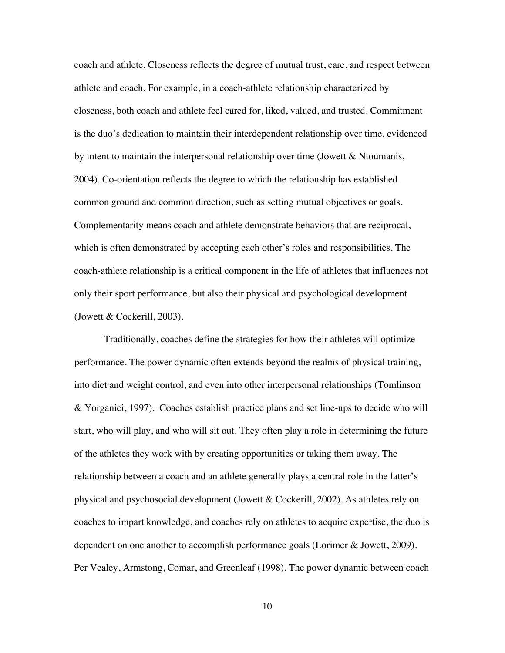coach and athlete. Closeness reflects the degree of mutual trust, care, and respect between athlete and coach. For example, in a coach-athlete relationship characterized by closeness, both coach and athlete feel cared for, liked, valued, and trusted. Commitment is the duo's dedication to maintain their interdependent relationship over time, evidenced by intent to maintain the interpersonal relationship over time (Jowett & Ntoumanis, 2004). Co-orientation reflects the degree to which the relationship has established common ground and common direction, such as setting mutual objectives or goals. Complementarity means coach and athlete demonstrate behaviors that are reciprocal, which is often demonstrated by accepting each other's roles and responsibilities. The coach-athlete relationship is a critical component in the life of athletes that influences not only their sport performance, but also their physical and psychological development (Jowett & Cockerill, 2003).

Traditionally, coaches define the strategies for how their athletes will optimize performance. The power dynamic often extends beyond the realms of physical training, into diet and weight control, and even into other interpersonal relationships (Tomlinson & Yorganici, 1997). Coaches establish practice plans and set line-ups to decide who will start, who will play, and who will sit out. They often play a role in determining the future of the athletes they work with by creating opportunities or taking them away. The relationship between a coach and an athlete generally plays a central role in the latter's physical and psychosocial development (Jowett & Cockerill, 2002). As athletes rely on coaches to impart knowledge, and coaches rely on athletes to acquire expertise, the duo is dependent on one another to accomplish performance goals (Lorimer & Jowett, 2009). Per Vealey, Armstong, Comar, and Greenleaf (1998). The power dynamic between coach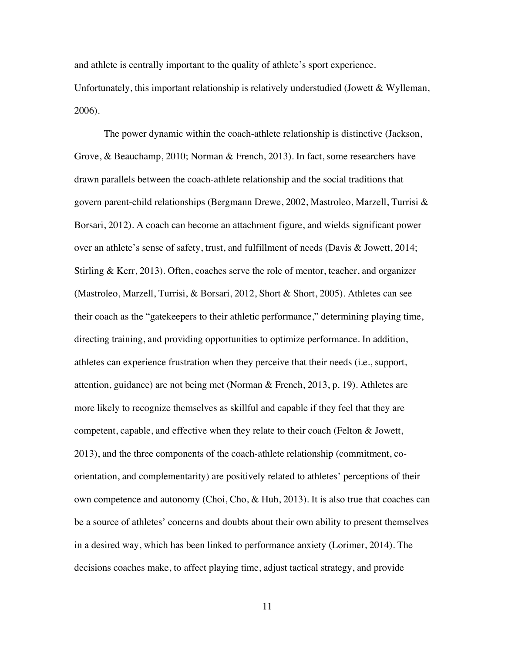and athlete is centrally important to the quality of athlete's sport experience. Unfortunately, this important relationship is relatively understudied (Jowett & Wylleman, 2006).

The power dynamic within the coach-athlete relationship is distinctive (Jackson, Grove, & Beauchamp, 2010; Norman & French, 2013). In fact, some researchers have drawn parallels between the coach-athlete relationship and the social traditions that govern parent-child relationships (Bergmann Drewe, 2002, Mastroleo, Marzell, Turrisi & Borsari, 2012). A coach can become an attachment figure, and wields significant power over an athlete's sense of safety, trust, and fulfillment of needs (Davis & Jowett, 2014; Stirling & Kerr, 2013). Often, coaches serve the role of mentor, teacher, and organizer (Mastroleo, Marzell, Turrisi, & Borsari, 2012, Short & Short, 2005). Athletes can see their coach as the "gatekeepers to their athletic performance," determining playing time, directing training, and providing opportunities to optimize performance. In addition, athletes can experience frustration when they perceive that their needs (i.e., support, attention, guidance) are not being met (Norman & French, 2013, p. 19). Athletes are more likely to recognize themselves as skillful and capable if they feel that they are competent, capable, and effective when they relate to their coach (Felton & Jowett, 2013), and the three components of the coach-athlete relationship (commitment, coorientation, and complementarity) are positively related to athletes' perceptions of their own competence and autonomy (Choi, Cho, & Huh, 2013). It is also true that coaches can be a source of athletes' concerns and doubts about their own ability to present themselves in a desired way, which has been linked to performance anxiety (Lorimer, 2014). The decisions coaches make, to affect playing time, adjust tactical strategy, and provide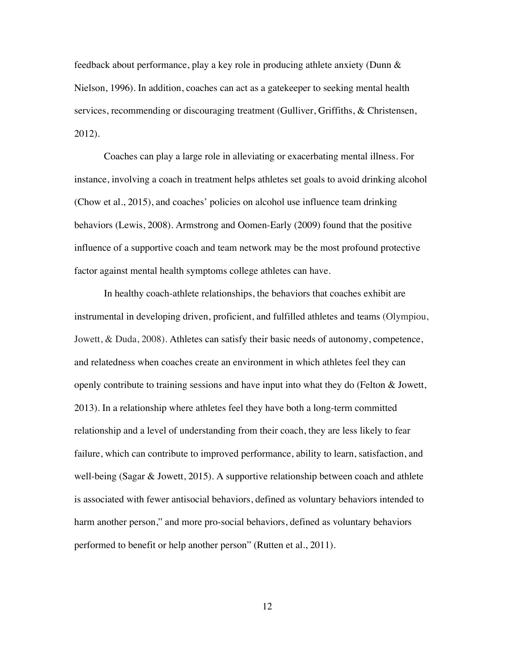feedback about performance, play a key role in producing athlete anxiety (Dunn & Nielson, 1996). In addition, coaches can act as a gatekeeper to seeking mental health services, recommending or discouraging treatment (Gulliver, Griffiths, & Christensen, 2012).

Coaches can play a large role in alleviating or exacerbating mental illness. For instance, involving a coach in treatment helps athletes set goals to avoid drinking alcohol (Chow et al., 2015), and coaches' policies on alcohol use influence team drinking behaviors (Lewis, 2008). Armstrong and Oomen-Early (2009) found that the positive influence of a supportive coach and team network may be the most profound protective factor against mental health symptoms college athletes can have.

In healthy coach-athlete relationships, the behaviors that coaches exhibit are instrumental in developing driven, proficient, and fulfilled athletes and teams (Olympiou, Jowett, & Duda, 2008). Athletes can satisfy their basic needs of autonomy, competence, and relatedness when coaches create an environment in which athletes feel they can openly contribute to training sessions and have input into what they do (Felton & Jowett, 2013). In a relationship where athletes feel they have both a long-term committed relationship and a level of understanding from their coach, they are less likely to fear failure, which can contribute to improved performance, ability to learn, satisfaction, and well-being (Sagar & Jowett, 2015). A supportive relationship between coach and athlete is associated with fewer antisocial behaviors, defined as voluntary behaviors intended to harm another person," and more pro-social behaviors, defined as voluntary behaviors performed to benefit or help another person" (Rutten et al., 2011).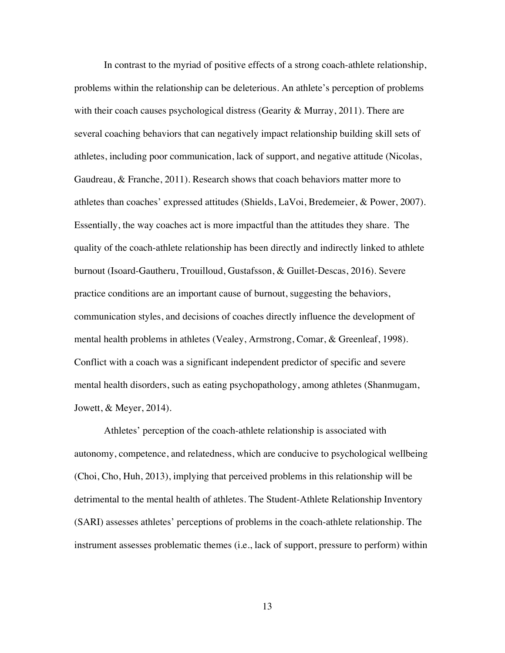In contrast to the myriad of positive effects of a strong coach-athlete relationship, problems within the relationship can be deleterious. An athlete's perception of problems with their coach causes psychological distress (Gearity  $\&$  Murray, 2011). There are several coaching behaviors that can negatively impact relationship building skill sets of athletes, including poor communication, lack of support, and negative attitude (Nicolas, Gaudreau, & Franche, 2011). Research shows that coach behaviors matter more to athletes than coaches' expressed attitudes (Shields, LaVoi, Bredemeier, & Power, 2007). Essentially, the way coaches act is more impactful than the attitudes they share. The quality of the coach-athlete relationship has been directly and indirectly linked to athlete burnout (Isoard-Gautheru, Trouilloud, Gustafsson, & Guillet-Descas, 2016). Severe practice conditions are an important cause of burnout, suggesting the behaviors, communication styles, and decisions of coaches directly influence the development of mental health problems in athletes (Vealey, Armstrong, Comar, & Greenleaf, 1998). Conflict with a coach was a significant independent predictor of specific and severe mental health disorders, such as eating psychopathology, among athletes (Shanmugam, Jowett, & Meyer, 2014).

Athletes' perception of the coach-athlete relationship is associated with autonomy, competence, and relatedness, which are conducive to psychological wellbeing (Choi, Cho, Huh, 2013), implying that perceived problems in this relationship will be detrimental to the mental health of athletes. The Student-Athlete Relationship Inventory (SARI) assesses athletes' perceptions of problems in the coach-athlete relationship. The instrument assesses problematic themes (i.e., lack of support, pressure to perform) within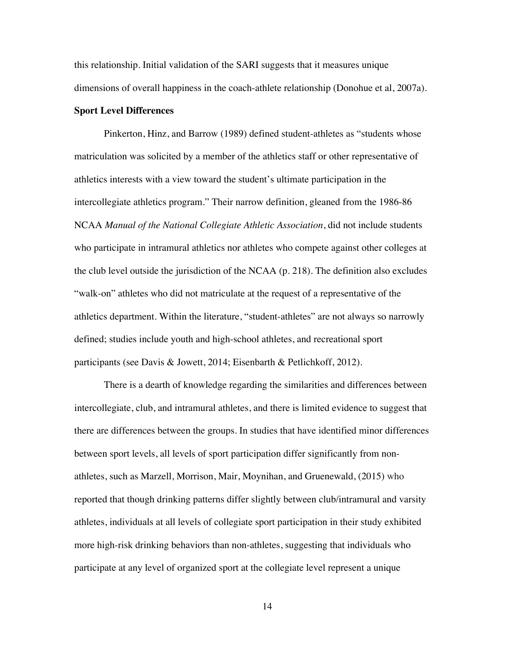this relationship. Initial validation of the SARI suggests that it measures unique dimensions of overall happiness in the coach-athlete relationship (Donohue et al, 2007a).

#### **Sport Level Differences**

Pinkerton, Hinz, and Barrow (1989) defined student-athletes as "students whose matriculation was solicited by a member of the athletics staff or other representative of athletics interests with a view toward the student's ultimate participation in the intercollegiate athletics program." Their narrow definition, gleaned from the 1986-86 NCAA *Manual of the National Collegiate Athletic Association*, did not include students who participate in intramural athletics nor athletes who compete against other colleges at the club level outside the jurisdiction of the NCAA (p. 218). The definition also excludes "walk-on" athletes who did not matriculate at the request of a representative of the athletics department. Within the literature, "student-athletes" are not always so narrowly defined; studies include youth and high-school athletes, and recreational sport participants (see Davis & Jowett, 2014; Eisenbarth & Petlichkoff, 2012).

There is a dearth of knowledge regarding the similarities and differences between intercollegiate, club, and intramural athletes, and there is limited evidence to suggest that there are differences between the groups. In studies that have identified minor differences between sport levels, all levels of sport participation differ significantly from nonathletes, such as Marzell, Morrison, Mair, Moynihan, and Gruenewald, (2015) who reported that though drinking patterns differ slightly between club/intramural and varsity athletes, individuals at all levels of collegiate sport participation in their study exhibited more high-risk drinking behaviors than non-athletes, suggesting that individuals who participate at any level of organized sport at the collegiate level represent a unique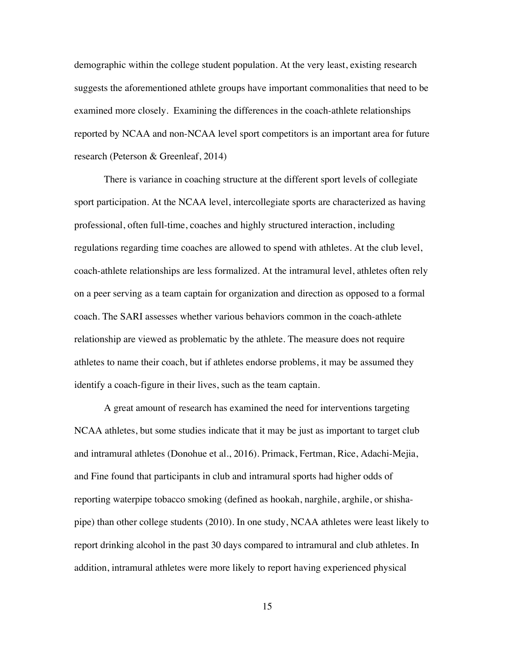demographic within the college student population. At the very least, existing research suggests the aforementioned athlete groups have important commonalities that need to be examined more closely. Examining the differences in the coach-athlete relationships reported by NCAA and non-NCAA level sport competitors is an important area for future research (Peterson & Greenleaf, 2014)

There is variance in coaching structure at the different sport levels of collegiate sport participation. At the NCAA level, intercollegiate sports are characterized as having professional, often full-time, coaches and highly structured interaction, including regulations regarding time coaches are allowed to spend with athletes. At the club level, coach-athlete relationships are less formalized. At the intramural level, athletes often rely on a peer serving as a team captain for organization and direction as opposed to a formal coach. The SARI assesses whether various behaviors common in the coach-athlete relationship are viewed as problematic by the athlete. The measure does not require athletes to name their coach, but if athletes endorse problems, it may be assumed they identify a coach-figure in their lives, such as the team captain.

A great amount of research has examined the need for interventions targeting NCAA athletes, but some studies indicate that it may be just as important to target club and intramural athletes (Donohue et al., 2016). Primack, Fertman, Rice, Adachi-Mejia, and Fine found that participants in club and intramural sports had higher odds of reporting waterpipe tobacco smoking (defined as hookah, narghile, arghile, or shishapipe) than other college students (2010). In one study, NCAA athletes were least likely to report drinking alcohol in the past 30 days compared to intramural and club athletes. In addition, intramural athletes were more likely to report having experienced physical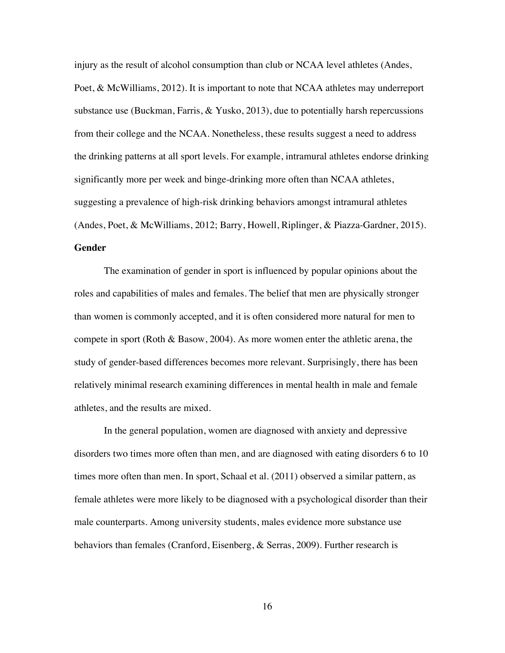injury as the result of alcohol consumption than club or NCAA level athletes (Andes, Poet, & McWilliams, 2012). It is important to note that NCAA athletes may underreport substance use (Buckman, Farris,  $\&$  Yusko, 2013), due to potentially harsh repercussions from their college and the NCAA. Nonetheless, these results suggest a need to address the drinking patterns at all sport levels. For example, intramural athletes endorse drinking significantly more per week and binge-drinking more often than NCAA athletes, suggesting a prevalence of high-risk drinking behaviors amongst intramural athletes (Andes, Poet, & McWilliams, 2012; Barry, Howell, Riplinger, & Piazza-Gardner, 2015). **Gender**

The examination of gender in sport is influenced by popular opinions about the roles and capabilities of males and females. The belief that men are physically stronger than women is commonly accepted, and it is often considered more natural for men to compete in sport (Roth & Basow, 2004). As more women enter the athletic arena, the study of gender-based differences becomes more relevant. Surprisingly, there has been relatively minimal research examining differences in mental health in male and female athletes, and the results are mixed.

In the general population, women are diagnosed with anxiety and depressive disorders two times more often than men, and are diagnosed with eating disorders 6 to 10 times more often than men. In sport, Schaal et al. (2011) observed a similar pattern, as female athletes were more likely to be diagnosed with a psychological disorder than their male counterparts. Among university students, males evidence more substance use behaviors than females (Cranford, Eisenberg, & Serras, 2009). Further research is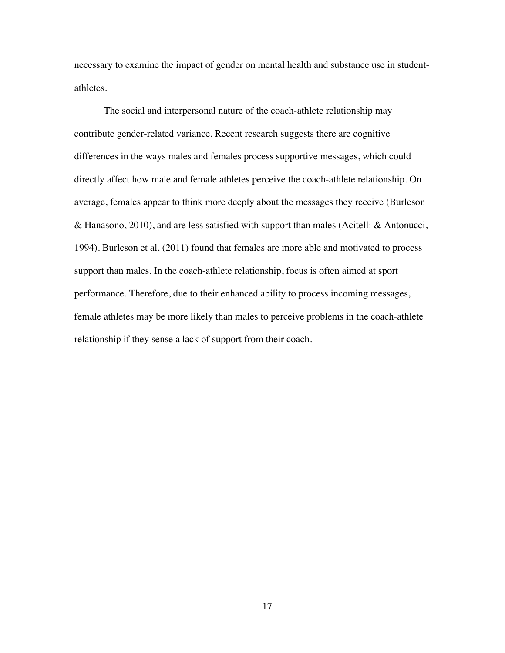necessary to examine the impact of gender on mental health and substance use in studentathletes.

The social and interpersonal nature of the coach-athlete relationship may contribute gender-related variance. Recent research suggests there are cognitive differences in the ways males and females process supportive messages, which could directly affect how male and female athletes perceive the coach-athlete relationship. On average, females appear to think more deeply about the messages they receive (Burleson & Hanasono, 2010), and are less satisfied with support than males (Acitelli & Antonucci, 1994). Burleson et al. (2011) found that females are more able and motivated to process support than males. In the coach-athlete relationship, focus is often aimed at sport performance. Therefore, due to their enhanced ability to process incoming messages, female athletes may be more likely than males to perceive problems in the coach-athlete relationship if they sense a lack of support from their coach.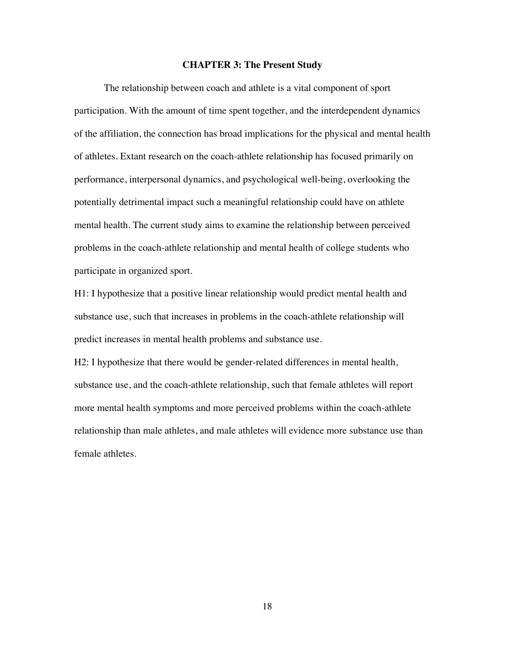#### **CHAPTER 3: The Present Study**

The relationship between coach and athlete is a vital component of sport participation. With the amount of time spent together, and the interdependent dynamics of the affiliation, the connection has broad implications for the physical and mental health of athletes. Extant research on the coach-athlete relationship has focused primarily on performance, interpersonal dynamics, and psychological well-being, overlooking the potentially detrimental impact such a meaningful relationship could have on athlete mental health. The current study aims to examine the relationship between perceived problems in the coach-athlete relationship and mental health of college students who participate in organized sport.

H1: I hypothesize that a positive linear relationship would predict mental health and substance use, such that increases in problems in the coach-athlete relationship will predict increases in mental health problems and substance use.

H2: I hypothesize that there would be gender-related differences in mental health, substance use, and the coach-athlete relationship, such that female athletes will report more mental health symptoms and more perceived problems within the coach-athlete relationship than male athletes, and male athletes will evidence more substance use than female athletes.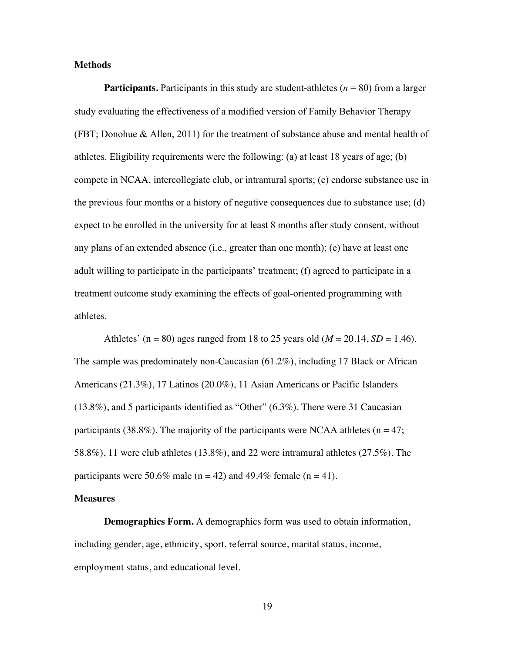#### **Methods**

**Participants.** Participants in this study are student-athletes ( $n = 80$ ) from a larger study evaluating the effectiveness of a modified version of Family Behavior Therapy (FBT; Donohue & Allen, 2011) for the treatment of substance abuse and mental health of athletes. Eligibility requirements were the following: (a) at least 18 years of age; (b) compete in NCAA, intercollegiate club, or intramural sports; (c) endorse substance use in the previous four months or a history of negative consequences due to substance use; (d) expect to be enrolled in the university for at least 8 months after study consent, without any plans of an extended absence (i.e., greater than one month); (e) have at least one adult willing to participate in the participants' treatment; (f) agreed to participate in a treatment outcome study examining the effects of goal-oriented programming with athletes.

Athletes' ( $n = 80$ ) ages ranged from 18 to 25 years old ( $M = 20.14$ ,  $SD = 1.46$ ). The sample was predominately non-Caucasian (61.2%), including 17 Black or African Americans (21.3%), 17 Latinos (20.0%), 11 Asian Americans or Pacific Islanders (13.8%), and 5 participants identified as "Other" (6.3%). There were 31 Caucasian participants (38.8%). The majority of the participants were NCAA athletes ( $n = 47$ ; 58.8%), 11 were club athletes (13.8%), and 22 were intramural athletes (27.5%). The participants were 50.6% male ( $n = 42$ ) and 49.4% female ( $n = 41$ ).

#### **Measures**

**Demographics Form.** A demographics form was used to obtain information, including gender, age, ethnicity, sport, referral source, marital status, income, employment status, and educational level.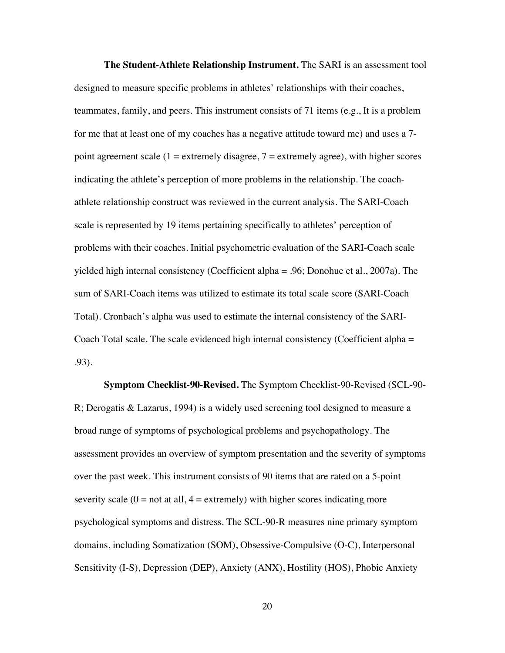**The Student-Athlete Relationship Instrument.** The SARI is an assessment tool designed to measure specific problems in athletes' relationships with their coaches, teammates, family, and peers. This instrument consists of 71 items (e.g., It is a problem for me that at least one of my coaches has a negative attitude toward me) and uses a 7 point agreement scale  $(1 =$  extremely disagree,  $7 =$  extremely agree), with higher scores indicating the athlete's perception of more problems in the relationship. The coachathlete relationship construct was reviewed in the current analysis. The SARI-Coach scale is represented by 19 items pertaining specifically to athletes' perception of problems with their coaches. Initial psychometric evaluation of the SARI-Coach scale yielded high internal consistency (Coefficient alpha = .96; Donohue et al., 2007a). The sum of SARI-Coach items was utilized to estimate its total scale score (SARI-Coach Total). Cronbach's alpha was used to estimate the internal consistency of the SARI-Coach Total scale. The scale evidenced high internal consistency (Coefficient alpha = .93).

**Symptom Checklist-90-Revised.** The Symptom Checklist-90-Revised (SCL-90- R; Derogatis & Lazarus, 1994) is a widely used screening tool designed to measure a broad range of symptoms of psychological problems and psychopathology. The assessment provides an overview of symptom presentation and the severity of symptoms over the past week. This instrument consists of 90 items that are rated on a 5-point severity scale  $(0 = not at all, 4 = extremely)$  with higher scores indicating more psychological symptoms and distress. The SCL-90-R measures nine primary symptom domains, including Somatization (SOM), Obsessive-Compulsive (O-C), Interpersonal Sensitivity (I-S), Depression (DEP), Anxiety (ANX), Hostility (HOS), Phobic Anxiety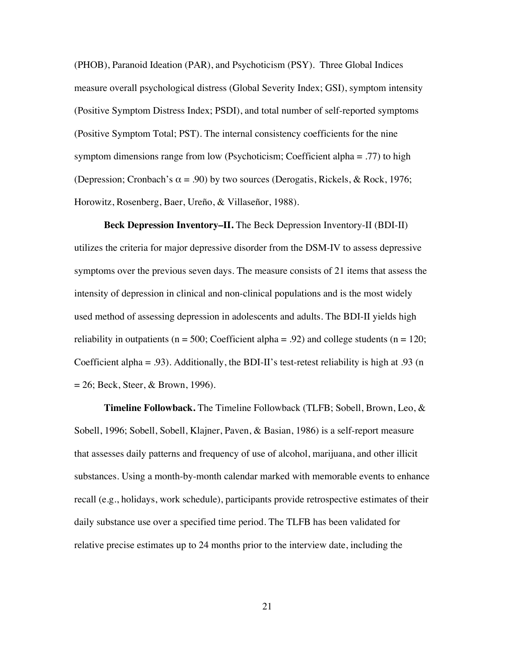(PHOB), Paranoid Ideation (PAR), and Psychoticism (PSY). Three Global Indices measure overall psychological distress (Global Severity Index; GSI), symptom intensity (Positive Symptom Distress Index; PSDI), and total number of self-reported symptoms (Positive Symptom Total; PST). The internal consistency coefficients for the nine symptom dimensions range from low (Psychoticism; Coefficient alpha = .77) to high (Depression; Cronbach's  $\alpha$  = .90) by two sources (Derogatis, Rickels, & Rock, 1976; Horowitz, Rosenberg, Baer, Ureño, & Villaseñor, 1988).

**Beck Depression Inventory–II.** The Beck Depression Inventory-II (BDI-II) utilizes the criteria for major depressive disorder from the DSM-IV to assess depressive symptoms over the previous seven days. The measure consists of 21 items that assess the intensity of depression in clinical and non-clinical populations and is the most widely used method of assessing depression in adolescents and adults. The BDI-II yields high reliability in outpatients ( $n = 500$ ; Coefficient alpha = .92) and college students ( $n = 120$ ; Coefficient alpha = .93). Additionally, the BDI-II's test-retest reliability is high at .93 (n  $= 26$ ; Beck, Steer, & Brown, 1996).

**Timeline Followback.** The Timeline Followback (TLFB; Sobell, Brown, Leo, & Sobell, 1996; Sobell, Sobell, Klajner, Paven, & Basian, 1986) is a self-report measure that assesses daily patterns and frequency of use of alcohol, marijuana, and other illicit substances. Using a month-by-month calendar marked with memorable events to enhance recall (e.g., holidays, work schedule), participants provide retrospective estimates of their daily substance use over a specified time period. The TLFB has been validated for relative precise estimates up to 24 months prior to the interview date, including the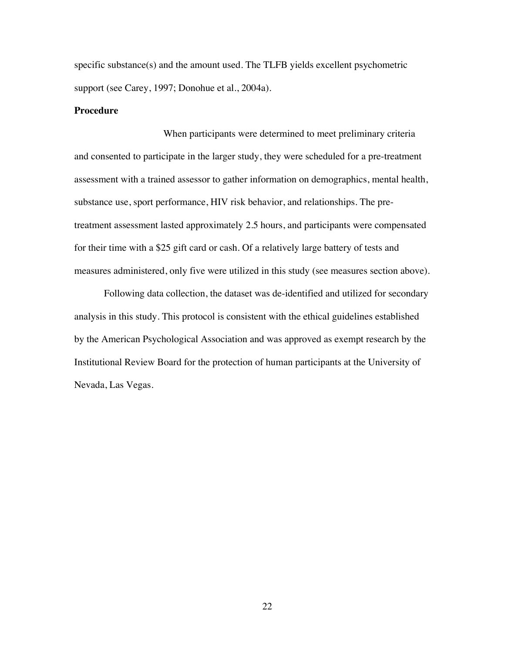specific substance(s) and the amount used. The TLFB yields excellent psychometric support (see Carey, 1997; Donohue et al., 2004a).

### **Procedure**

When participants were determined to meet preliminary criteria and consented to participate in the larger study, they were scheduled for a pre-treatment assessment with a trained assessor to gather information on demographics, mental health, substance use, sport performance, HIV risk behavior, and relationships. The pretreatment assessment lasted approximately 2.5 hours, and participants were compensated for their time with a \$25 gift card or cash. Of a relatively large battery of tests and measures administered, only five were utilized in this study (see measures section above).

Following data collection, the dataset was de-identified and utilized for secondary analysis in this study. This protocol is consistent with the ethical guidelines established by the American Psychological Association and was approved as exempt research by the Institutional Review Board for the protection of human participants at the University of Nevada, Las Vegas.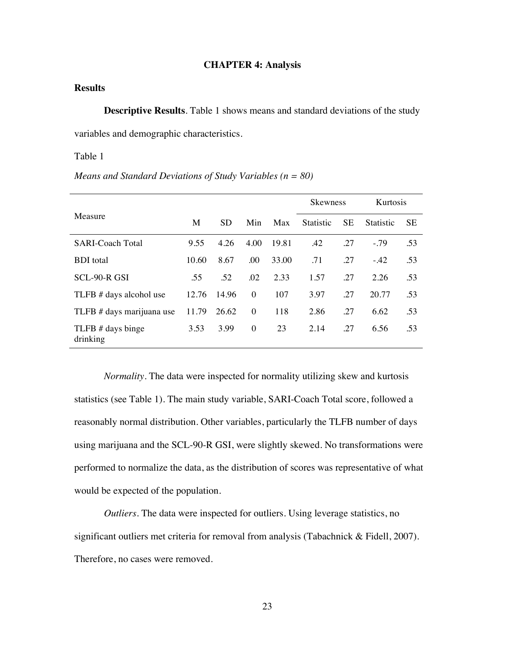#### **CHAPTER 4: Analysis**

## **Results**

**Descriptive Results**. Table 1 shows means and standard deviations of the study variables and demographic characteristics.

Table 1

#### *Means and Standard Deviations of Study Variables (n = 80)*

|                               |       |           |          |       | <b>Skewness</b>  |           | Kurtosis         |           |
|-------------------------------|-------|-----------|----------|-------|------------------|-----------|------------------|-----------|
| Measure                       | M     | <b>SD</b> | Min      | Max   | <b>Statistic</b> | <b>SE</b> | <b>Statistic</b> | <b>SE</b> |
| <b>SARI-Coach Total</b>       | 9.55  | 4.26      | 4.00     | 19.81 | .42              | .27       | $-0.79$          | .53       |
| <b>BDI</b> total              | 10.60 | 8.67      | .00      | 33.00 | .71              | .27       | $-42$            | .53       |
| SCL-90-R GSI                  | .55   | .52       | .02      | 2.33  | 1.57             | .27       | 2.26             | .53       |
| TLFB # days alcohol use       | 12.76 | 14.96     | $\theta$ | 107   | 3.97             | .27       | 20.77            | .53       |
| TLFB # days marijuana use     | 11.79 | 26.62     | $\theta$ | 118   | 2.86             | .27       | 6.62             | .53       |
| TLFB # days binge<br>drinking | 3.53  | 3.99      | $\theta$ | 23    | 2.14             | .27       | 6.56             | .53       |

*Normality*. The data were inspected for normality utilizing skew and kurtosis statistics (see Table 1). The main study variable, SARI-Coach Total score, followed a reasonably normal distribution. Other variables, particularly the TLFB number of days using marijuana and the SCL-90-R GSI, were slightly skewed. No transformations were performed to normalize the data, as the distribution of scores was representative of what would be expected of the population.

*Outliers*. The data were inspected for outliers. Using leverage statistics, no significant outliers met criteria for removal from analysis (Tabachnick & Fidell, 2007). Therefore, no cases were removed.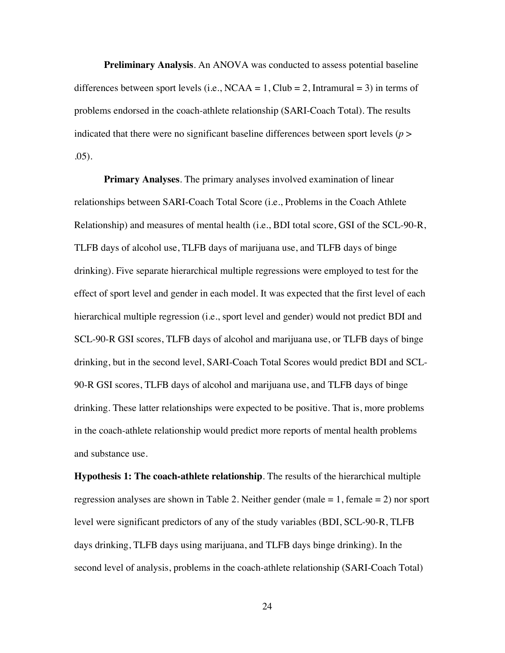**Preliminary Analysis**. An ANOVA was conducted to assess potential baseline differences between sport levels (i.e.,  $NCAA = 1$ , Club = 2, Intramural = 3) in terms of problems endorsed in the coach-athlete relationship (SARI-Coach Total). The results indicated that there were no significant baseline differences between sport levels (*p* > .05).

**Primary Analyses**. The primary analyses involved examination of linear relationships between SARI-Coach Total Score (i.e., Problems in the Coach Athlete Relationship) and measures of mental health (i.e., BDI total score, GSI of the SCL-90-R, TLFB days of alcohol use, TLFB days of marijuana use, and TLFB days of binge drinking). Five separate hierarchical multiple regressions were employed to test for the effect of sport level and gender in each model. It was expected that the first level of each hierarchical multiple regression (i.e., sport level and gender) would not predict BDI and SCL-90-R GSI scores, TLFB days of alcohol and marijuana use, or TLFB days of binge drinking, but in the second level, SARI-Coach Total Scores would predict BDI and SCL-90-R GSI scores, TLFB days of alcohol and marijuana use, and TLFB days of binge drinking. These latter relationships were expected to be positive. That is, more problems in the coach-athlete relationship would predict more reports of mental health problems and substance use.

**Hypothesis 1: The coach-athlete relationship**. The results of the hierarchical multiple regression analyses are shown in Table 2. Neither gender (male  $= 1$ , female  $= 2$ ) nor sport level were significant predictors of any of the study variables (BDI, SCL-90-R, TLFB days drinking, TLFB days using marijuana, and TLFB days binge drinking). In the second level of analysis, problems in the coach-athlete relationship (SARI-Coach Total)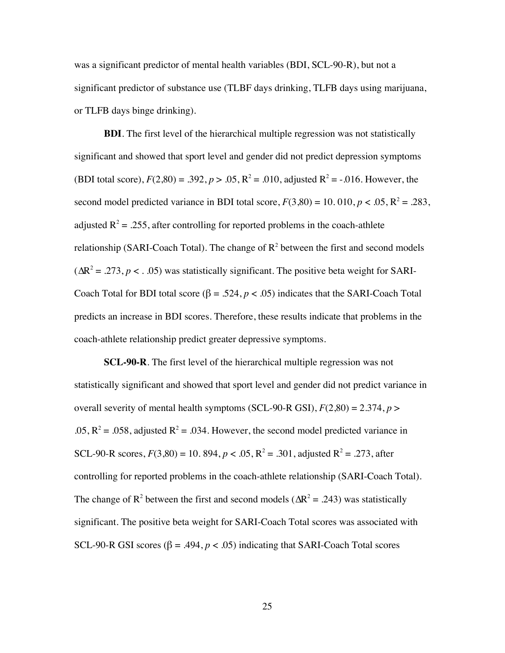was a significant predictor of mental health variables (BDI, SCL-90-R), but not a significant predictor of substance use (TLBF days drinking, TLFB days using marijuana, or TLFB days binge drinking).

**BDI**. The first level of the hierarchical multiple regression was not statistically significant and showed that sport level and gender did not predict depression symptoms (BDI total score),  $F(2,80) = .392$ ,  $p > .05$ ,  $R^2 = .010$ , adjusted  $R^2 = .016$ . However, the second model predicted variance in BDI total score,  $F(3,80) = 10.010$ ,  $p < .05$ ,  $R^2 = .283$ , adjusted  $R^2 = .255$ , after controlling for reported problems in the coach-athlete relationship (SARI-Coach Total). The change of  $R^2$  between the first and second models  $(\Delta R^2 = .273, p < . .05)$  was statistically significant. The positive beta weight for SARI-Coach Total for BDI total score ( $\beta = .524$ ,  $p < .05$ ) indicates that the SARI-Coach Total predicts an increase in BDI scores. Therefore, these results indicate that problems in the coach-athlete relationship predict greater depressive symptoms.

**SCL-90-R**. The first level of the hierarchical multiple regression was not statistically significant and showed that sport level and gender did not predict variance in overall severity of mental health symptoms (SCL-90-R GSI),  $F(2,80) = 2.374$ ,  $p >$  $.05$ ,  $R^2 = .058$ , adjusted  $R^2 = .034$ . However, the second model predicted variance in SCL-90-R scores,  $F(3,80) = 10.894$ ,  $p < .05$ ,  $R^2 = .301$ , adjusted  $R^2 = .273$ , after controlling for reported problems in the coach-athlete relationship (SARI-Coach Total). The change of R<sup>2</sup> between the first and second models ( $\Delta R^2$  = .243) was statistically significant. The positive beta weight for SARI-Coach Total scores was associated with SCL-90-R GSI scores ( $\beta$  = .494,  $p$  < .05) indicating that SARI-Coach Total scores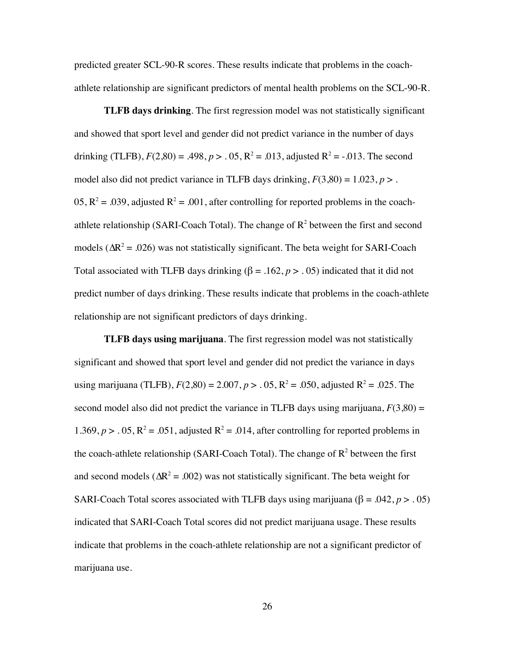predicted greater SCL-90-R scores. These results indicate that problems in the coachathlete relationship are significant predictors of mental health problems on the SCL-90-R.

**TLFB days drinking**. The first regression model was not statistically significant and showed that sport level and gender did not predict variance in the number of days drinking (TLFB),  $F(2,80) = .498$ ,  $p > .05$ ,  $R^2 = .013$ , adjusted  $R^2 = .013$ . The second model also did not predict variance in TLFB days drinking,  $F(3,80) = 1.023$ ,  $p >$ . 05,  $R^2 = .039$ , adjusted  $R^2 = .001$ , after controlling for reported problems in the coachathlete relationship (SARI-Coach Total). The change of  $R^2$  between the first and second models ( $\Delta R^2$  = .026) was not statistically significant. The beta weight for SARI-Coach Total associated with TLFB days drinking  $(\beta = .162, p > .05)$  indicated that it did not predict number of days drinking. These results indicate that problems in the coach-athlete relationship are not significant predictors of days drinking.

**TLFB days using marijuana**. The first regression model was not statistically significant and showed that sport level and gender did not predict the variance in days using marijuana (TLFB),  $F(2,80) = 2.007$ ,  $p > .05$ ,  $R^2 = .050$ , adjusted  $R^2 = .025$ . The second model also did not predict the variance in TLFB days using marijuana,  $F(3,80) =$ 1.369,  $p > 0.05$ ,  $R^2 = 0.051$ , adjusted  $R^2 = 0.014$ , after controlling for reported problems in the coach-athlete relationship (SARI-Coach Total). The change of  $R^2$  between the first and second models ( $\Delta R^2$  = .002) was not statistically significant. The beta weight for SARI-Coach Total scores associated with TLFB days using marijuana ( $\beta$  = .042, *p* > .05) indicated that SARI-Coach Total scores did not predict marijuana usage. These results indicate that problems in the coach-athlete relationship are not a significant predictor of marijuana use.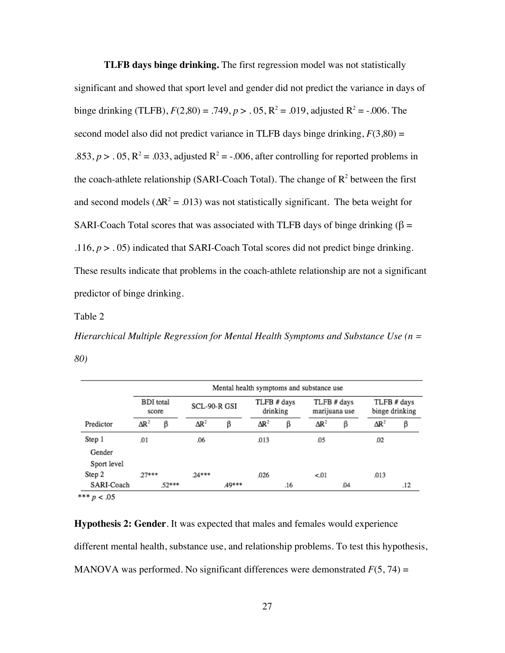**TLFB days binge drinking.** The first regression model was not statistically significant and showed that sport level and gender did not predict the variance in days of binge drinking (TLFB),  $F(2,80) = .749$ ,  $p > .05$ ,  $R^2 = .019$ , adjusted  $R^2 = .006$ . The second model also did not predict variance in TLFB days binge drinking,  $F(3,80) =$ .853,  $p > .05$ ,  $R^2 = .033$ , adjusted  $R^2 = .006$ , after controlling for reported problems in the coach-athlete relationship (SARI-Coach Total). The change of  $R^2$  between the first and second models ( $\Delta R^2$  = .013) was not statistically significant. The beta weight for SARI-Coach Total scores that was associated with TLFB days of binge drinking ( $\beta$  = .116, *p* > . 05) indicated that SARI-Coach Total scores did not predict binge drinking. These results indicate that problems in the coach-athlete relationship are not a significant predictor of binge drinking.

#### Table 2

*Hierarchical Multiple Regression for Mental Health Symptoms and Substance Use (n = 80)*

|             | Mental health symptoms and substance use |       |              |       |                         |     |                              |     |                               |     |
|-------------|------------------------------------------|-------|--------------|-------|-------------------------|-----|------------------------------|-----|-------------------------------|-----|
|             | <b>BDI</b> total<br>score                |       | SCL-90-R GSI |       | TLFB # days<br>drinking |     | TLFB # days<br>marijuana use |     | TLFB # days<br>binge drinking |     |
| Predictor   | $\Delta R^2$                             | β     | $\Delta R^2$ | β     | $\Delta R^2$            | β   | $\Delta R^2$                 | β   | $\Delta R^2$                  | β   |
| Step 1      | .01                                      |       | .06          |       | .013                    |     | .05                          |     | .02                           |     |
| Gender      |                                          |       |              |       |                         |     |                              |     |                               |     |
| Sport level |                                          |       |              |       |                         |     |                              |     |                               |     |
| Step 2      | $27***$                                  |       | 24***        |       | .026                    |     | < 01                         |     | .013                          |     |
| SARI-Coach  |                                          | 52*** |              | 49*** |                         | .16 |                              | .04 |                               | .12 |

\*\*\*  $p < .05$ 

**Hypothesis 2: Gender**. It was expected that males and females would experience different mental health, substance use, and relationship problems. To test this hypothesis, MANOVA was performed. No significant differences were demonstrated  $F(5, 74) =$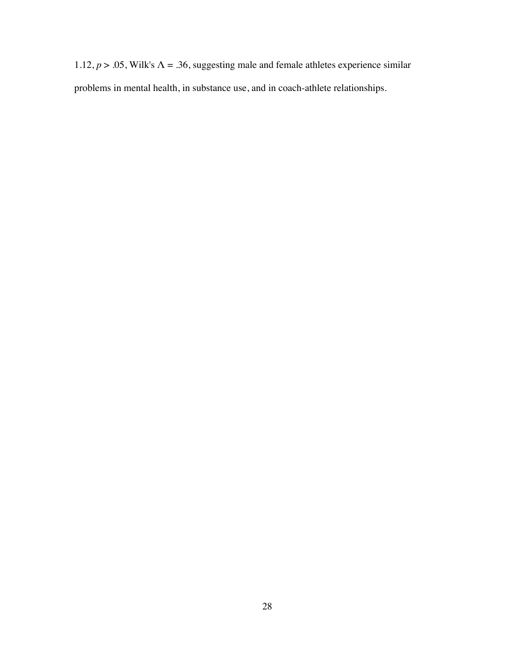1.12,  $p > 0.05$ , Wilk's  $\Lambda = 0.36$ , suggesting male and female athletes experience similar problems in mental health, in substance use, and in coach-athlete relationships.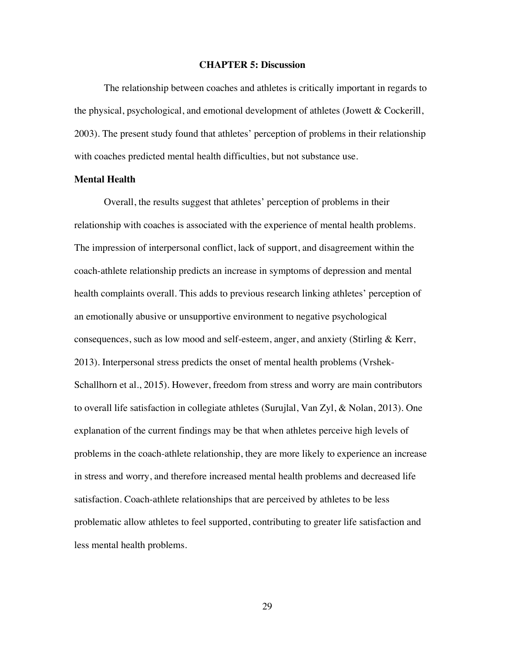#### **CHAPTER 5: Discussion**

The relationship between coaches and athletes is critically important in regards to the physical, psychological, and emotional development of athletes (Jowett & Cockerill, 2003). The present study found that athletes' perception of problems in their relationship with coaches predicted mental health difficulties, but not substance use.

#### **Mental Health**

Overall, the results suggest that athletes' perception of problems in their relationship with coaches is associated with the experience of mental health problems. The impression of interpersonal conflict, lack of support, and disagreement within the coach-athlete relationship predicts an increase in symptoms of depression and mental health complaints overall. This adds to previous research linking athletes' perception of an emotionally abusive or unsupportive environment to negative psychological consequences, such as low mood and self-esteem, anger, and anxiety (Stirling & Kerr, 2013). Interpersonal stress predicts the onset of mental health problems (Vrshek-Schallhorn et al., 2015). However, freedom from stress and worry are main contributors to overall life satisfaction in collegiate athletes (Surujlal, Van Zyl, & Nolan, 2013). One explanation of the current findings may be that when athletes perceive high levels of problems in the coach-athlete relationship, they are more likely to experience an increase in stress and worry, and therefore increased mental health problems and decreased life satisfaction. Coach-athlete relationships that are perceived by athletes to be less problematic allow athletes to feel supported, contributing to greater life satisfaction and less mental health problems.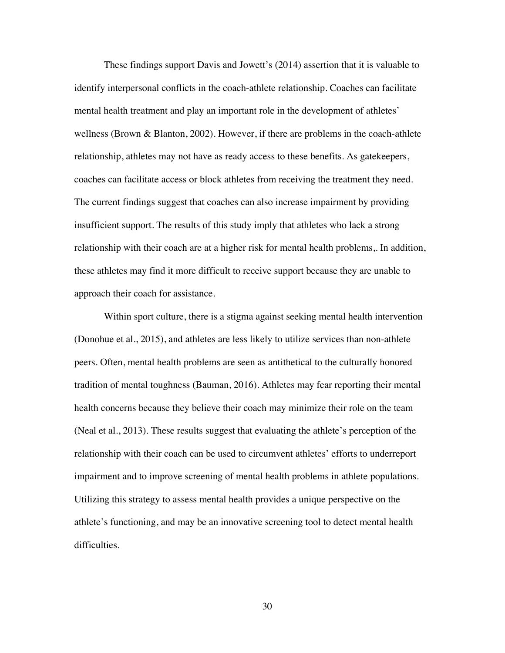These findings support Davis and Jowett's (2014) assertion that it is valuable to identify interpersonal conflicts in the coach-athlete relationship. Coaches can facilitate mental health treatment and play an important role in the development of athletes' wellness (Brown & Blanton, 2002). However, if there are problems in the coach-athlete relationship, athletes may not have as ready access to these benefits. As gatekeepers, coaches can facilitate access or block athletes from receiving the treatment they need. The current findings suggest that coaches can also increase impairment by providing insufficient support. The results of this study imply that athletes who lack a strong relationship with their coach are at a higher risk for mental health problems,. In addition, these athletes may find it more difficult to receive support because they are unable to approach their coach for assistance.

Within sport culture, there is a stigma against seeking mental health intervention (Donohue et al., 2015), and athletes are less likely to utilize services than non-athlete peers. Often, mental health problems are seen as antithetical to the culturally honored tradition of mental toughness (Bauman, 2016). Athletes may fear reporting their mental health concerns because they believe their coach may minimize their role on the team (Neal et al., 2013). These results suggest that evaluating the athlete's perception of the relationship with their coach can be used to circumvent athletes' efforts to underreport impairment and to improve screening of mental health problems in athlete populations. Utilizing this strategy to assess mental health provides a unique perspective on the athlete's functioning, and may be an innovative screening tool to detect mental health difficulties.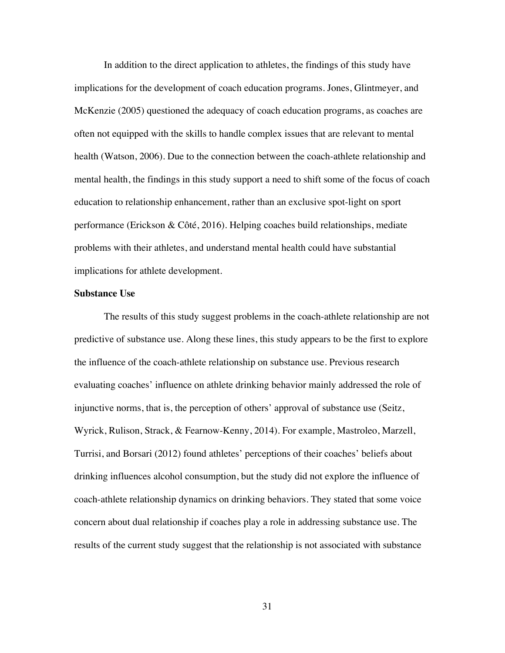In addition to the direct application to athletes, the findings of this study have implications for the development of coach education programs. Jones, Glintmeyer, and McKenzie (2005) questioned the adequacy of coach education programs, as coaches are often not equipped with the skills to handle complex issues that are relevant to mental health (Watson, 2006). Due to the connection between the coach-athlete relationship and mental health, the findings in this study support a need to shift some of the focus of coach education to relationship enhancement, rather than an exclusive spot-light on sport performance (Erickson & Côté, 2016). Helping coaches build relationships, mediate problems with their athletes, and understand mental health could have substantial implications for athlete development.

#### **Substance Use**

The results of this study suggest problems in the coach-athlete relationship are not predictive of substance use. Along these lines, this study appears to be the first to explore the influence of the coach-athlete relationship on substance use. Previous research evaluating coaches' influence on athlete drinking behavior mainly addressed the role of injunctive norms, that is, the perception of others' approval of substance use (Seitz, Wyrick, Rulison, Strack, & Fearnow-Kenny, 2014). For example, Mastroleo, Marzell, Turrisi, and Borsari (2012) found athletes' perceptions of their coaches' beliefs about drinking influences alcohol consumption, but the study did not explore the influence of coach-athlete relationship dynamics on drinking behaviors. They stated that some voice concern about dual relationship if coaches play a role in addressing substance use. The results of the current study suggest that the relationship is not associated with substance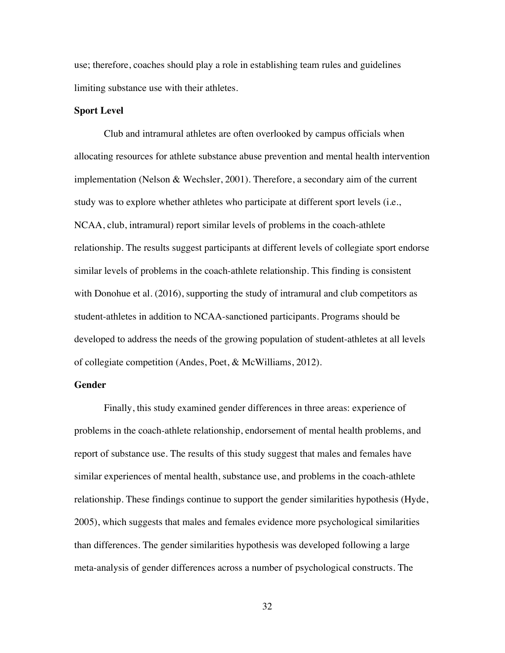use; therefore, coaches should play a role in establishing team rules and guidelines limiting substance use with their athletes.

#### **Sport Level**

Club and intramural athletes are often overlooked by campus officials when allocating resources for athlete substance abuse prevention and mental health intervention implementation (Nelson & Wechsler, 2001). Therefore, a secondary aim of the current study was to explore whether athletes who participate at different sport levels (i.e., NCAA, club, intramural) report similar levels of problems in the coach-athlete relationship. The results suggest participants at different levels of collegiate sport endorse similar levels of problems in the coach-athlete relationship. This finding is consistent with Donohue et al. (2016), supporting the study of intramural and club competitors as student-athletes in addition to NCAA-sanctioned participants. Programs should be developed to address the needs of the growing population of student-athletes at all levels of collegiate competition (Andes, Poet, & McWilliams, 2012).

#### **Gender**

Finally, this study examined gender differences in three areas: experience of problems in the coach-athlete relationship, endorsement of mental health problems, and report of substance use. The results of this study suggest that males and females have similar experiences of mental health, substance use, and problems in the coach-athlete relationship. These findings continue to support the gender similarities hypothesis (Hyde, 2005), which suggests that males and females evidence more psychological similarities than differences. The gender similarities hypothesis was developed following a large meta-analysis of gender differences across a number of psychological constructs. The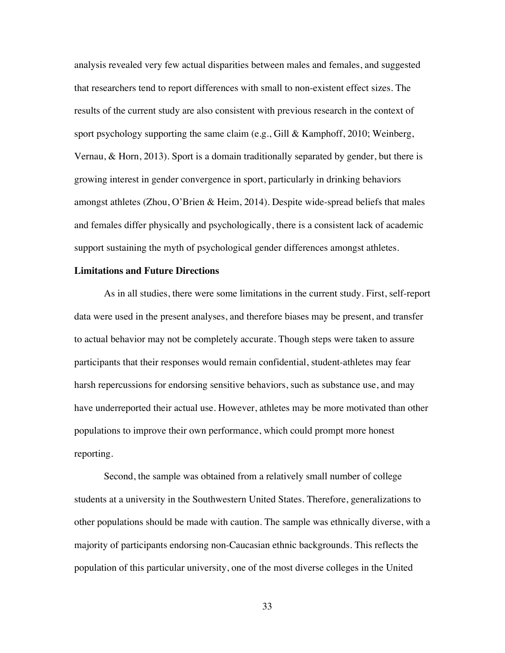analysis revealed very few actual disparities between males and females, and suggested that researchers tend to report differences with small to non-existent effect sizes. The results of the current study are also consistent with previous research in the context of sport psychology supporting the same claim (e.g., Gill & Kamphoff, 2010; Weinberg, Vernau, & Horn, 2013). Sport is a domain traditionally separated by gender, but there is growing interest in gender convergence in sport, particularly in drinking behaviors amongst athletes (Zhou, O'Brien & Heim, 2014). Despite wide-spread beliefs that males and females differ physically and psychologically, there is a consistent lack of academic support sustaining the myth of psychological gender differences amongst athletes.

#### **Limitations and Future Directions**

As in all studies, there were some limitations in the current study. First, self-report data were used in the present analyses, and therefore biases may be present, and transfer to actual behavior may not be completely accurate. Though steps were taken to assure participants that their responses would remain confidential, student-athletes may fear harsh repercussions for endorsing sensitive behaviors, such as substance use, and may have underreported their actual use. However, athletes may be more motivated than other populations to improve their own performance, which could prompt more honest reporting.

Second, the sample was obtained from a relatively small number of college students at a university in the Southwestern United States. Therefore, generalizations to other populations should be made with caution. The sample was ethnically diverse, with a majority of participants endorsing non-Caucasian ethnic backgrounds. This reflects the population of this particular university, one of the most diverse colleges in the United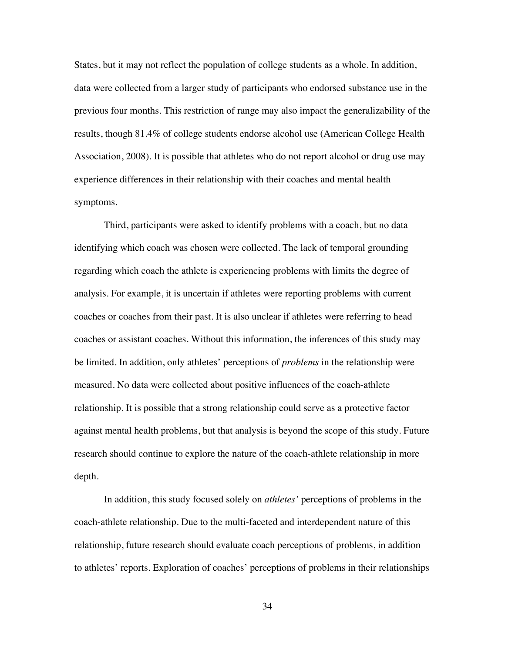States, but it may not reflect the population of college students as a whole. In addition, data were collected from a larger study of participants who endorsed substance use in the previous four months. This restriction of range may also impact the generalizability of the results, though 81.4% of college students endorse alcohol use (American College Health Association, 2008). It is possible that athletes who do not report alcohol or drug use may experience differences in their relationship with their coaches and mental health symptoms.

Third, participants were asked to identify problems with a coach, but no data identifying which coach was chosen were collected. The lack of temporal grounding regarding which coach the athlete is experiencing problems with limits the degree of analysis. For example, it is uncertain if athletes were reporting problems with current coaches or coaches from their past. It is also unclear if athletes were referring to head coaches or assistant coaches. Without this information, the inferences of this study may be limited. In addition, only athletes' perceptions of *problems* in the relationship were measured. No data were collected about positive influences of the coach-athlete relationship. It is possible that a strong relationship could serve as a protective factor against mental health problems, but that analysis is beyond the scope of this study. Future research should continue to explore the nature of the coach-athlete relationship in more depth.

In addition, this study focused solely on *athletes'* perceptions of problems in the coach-athlete relationship. Due to the multi-faceted and interdependent nature of this relationship, future research should evaluate coach perceptions of problems, in addition to athletes' reports. Exploration of coaches' perceptions of problems in their relationships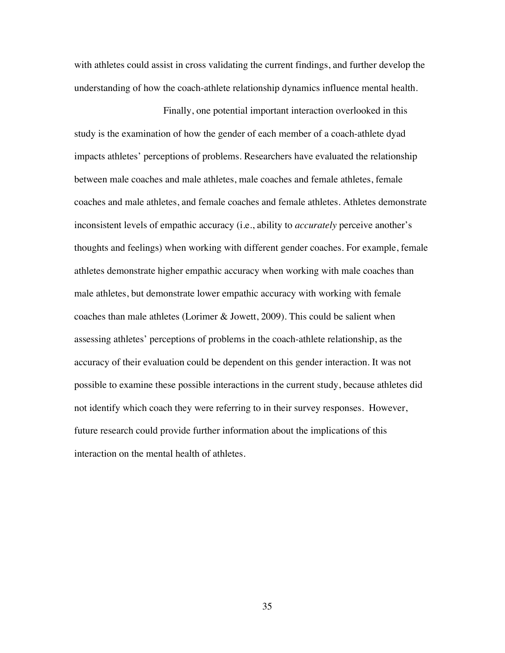with athletes could assist in cross validating the current findings, and further develop the understanding of how the coach-athlete relationship dynamics influence mental health.

Finally, one potential important interaction overlooked in this study is the examination of how the gender of each member of a coach-athlete dyad impacts athletes' perceptions of problems. Researchers have evaluated the relationship between male coaches and male athletes, male coaches and female athletes, female coaches and male athletes, and female coaches and female athletes. Athletes demonstrate inconsistent levels of empathic accuracy (i.e., ability to *accurately* perceive another's thoughts and feelings) when working with different gender coaches. For example, female athletes demonstrate higher empathic accuracy when working with male coaches than male athletes, but demonstrate lower empathic accuracy with working with female coaches than male athletes (Lorimer & Jowett, 2009). This could be salient when assessing athletes' perceptions of problems in the coach-athlete relationship, as the accuracy of their evaluation could be dependent on this gender interaction. It was not possible to examine these possible interactions in the current study, because athletes did not identify which coach they were referring to in their survey responses. However, future research could provide further information about the implications of this interaction on the mental health of athletes.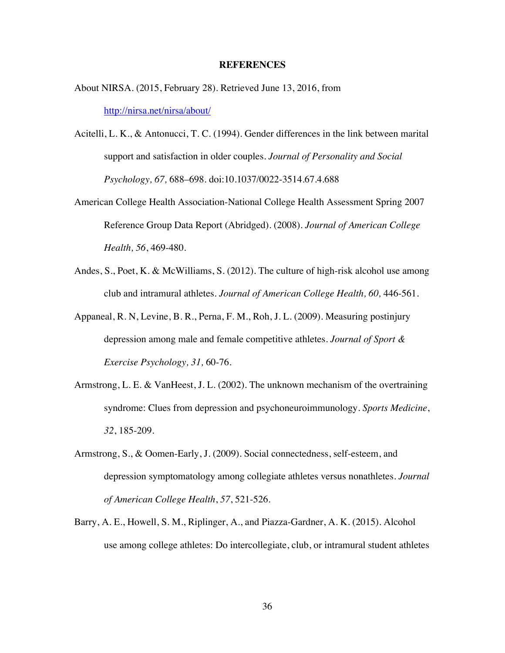#### **REFERENCES**

- About NIRSA. (2015, February 28). Retrieved June 13, 2016, from http://nirsa.net/nirsa/about/
- Acitelli, L. K., & Antonucci, T. C. (1994). Gender differences in the link between marital support and satisfaction in older couples. *Journal of Personality and Social Psychology, 67,* 688–698. doi:10.1037/0022-3514.67.4.688
- American College Health Association-National College Health Assessment Spring 2007 Reference Group Data Report (Abridged). (2008). *Journal of American College Health, 56*, 469-480.
- Andes, S., Poet, K. & McWilliams, S. (2012). The culture of high-risk alcohol use among club and intramural athletes. *Journal of American College Health, 60,* 446-561.
- Appaneal, R. N, Levine, B. R., Perna, F. M., Roh, J. L. (2009). Measuring postinjury depression among male and female competitive athletes. *Journal of Sport & Exercise Psychology, 31,* 60-76.
- Armstrong, L. E. & VanHeest, J. L. (2002). The unknown mechanism of the overtraining syndrome: Clues from depression and psychoneuroimmunology. *Sports Medicine*, *32*, 185-209.
- Armstrong, S., & Oomen-Early, J. (2009). Social connectedness, self-esteem, and depression symptomatology among collegiate athletes versus nonathletes. *Journal of American College Health*, *57*, 521-526.
- Barry, A. E., Howell, S. M., Riplinger, A., and Piazza-Gardner, A. K. (2015). Alcohol use among college athletes: Do intercollegiate, club, or intramural student athletes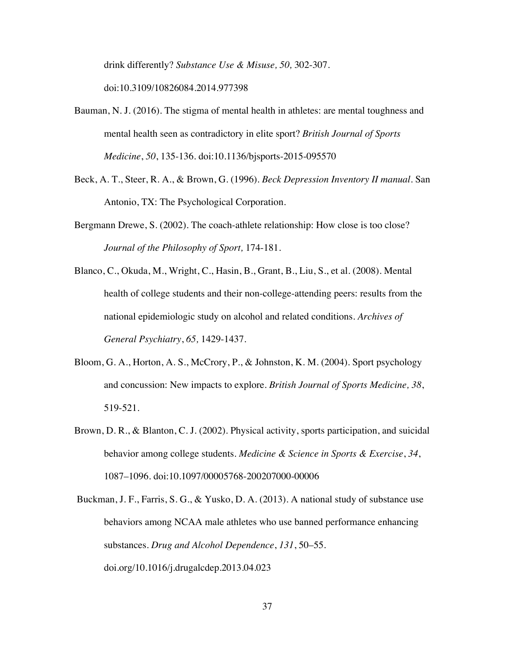drink differently? *Substance Use & Misuse, 50,* 302-307. doi:10.3109/10826084.2014.977398

- Bauman, N. J. (2016). The stigma of mental health in athletes: are mental toughness and mental health seen as contradictory in elite sport? *British Journal of Sports Medicine*, *50*, 135-136. doi:10.1136/bjsports-2015-095570
- Beck, A. T., Steer, R. A., & Brown, G. (1996). *Beck Depression Inventory II manual*. San Antonio, TX: The Psychological Corporation.
- Bergmann Drewe, S. (2002). The coach-athlete relationship: How close is too close? *Journal of the Philosophy of Sport,* 174-181.
- Blanco, C., Okuda, M., Wright, C., Hasin, B., Grant, B., Liu, S., et al. (2008). Mental health of college students and their non-college-attending peers: results from the national epidemiologic study on alcohol and related conditions. *Archives of General Psychiatry*, *65,* 1429-1437.
- Bloom, G. A., Horton, A. S., McCrory, P., & Johnston, K. M. (2004). Sport psychology and concussion: New impacts to explore. *British Journal of Sports Medicine, 38*, 519-521.
- Brown, D. R., & Blanton, C. J. (2002). Physical activity, sports participation, and suicidal behavior among college students. *Medicine & Science in Sports & Exercise*, *34*, 1087–1096. doi:10.1097/00005768-200207000-00006
- Buckman, J. F., Farris, S. G., & Yusko, D. A. (2013). A national study of substance use behaviors among NCAA male athletes who use banned performance enhancing substances. *Drug and Alcohol Dependence*, *131*, 50–55. doi.org/10.1016/j.drugalcdep.2013.04.023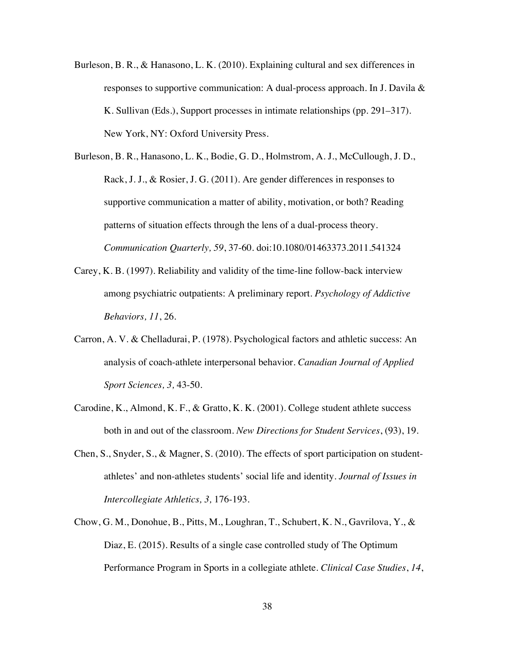- Burleson, B. R., & Hanasono, L. K. (2010). Explaining cultural and sex differences in responses to supportive communication: A dual-process approach. In J. Davila & K. Sullivan (Eds.), Support processes in intimate relationships (pp. 291–317). New York, NY: Oxford University Press.
- Burleson, B. R., Hanasono, L. K., Bodie, G. D., Holmstrom, A. J., McCullough, J. D., Rack, J. J., & Rosier, J. G. (2011). Are gender differences in responses to supportive communication a matter of ability, motivation, or both? Reading patterns of situation effects through the lens of a dual-process theory. *Communication Quarterly, 59*, 37-60. doi:10.1080/01463373.2011.541324
- Carey, K. B. (1997). Reliability and validity of the time-line follow-back interview among psychiatric outpatients: A preliminary report. *Psychology of Addictive Behaviors, 11*, 26.
- Carron, A. V. & Chelladurai, P. (1978). Psychological factors and athletic success: An analysis of coach-athlete interpersonal behavior. *Canadian Journal of Applied Sport Sciences, 3,* 43-50.
- Carodine, K., Almond, K. F., & Gratto, K. K. (2001). College student athlete success both in and out of the classroom. *New Directions for Student Services*, (93), 19.
- Chen, S., Snyder, S., & Magner, S. (2010). The effects of sport participation on studentathletes' and non-athletes students' social life and identity. *Journal of Issues in Intercollegiate Athletics, 3,* 176-193.
- Chow, G. M., Donohue, B., Pitts, M., Loughran, T., Schubert, K. N., Gavrilova, Y., & Diaz, E. (2015). Results of a single case controlled study of The Optimum Performance Program in Sports in a collegiate athlete. *Clinical Case Studies*, *14*,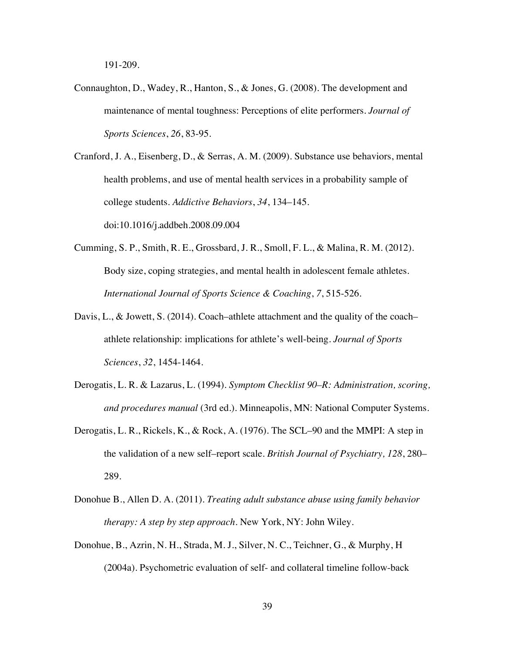191-209.

Connaughton, D., Wadey, R., Hanton, S., & Jones, G. (2008). The development and maintenance of mental toughness: Perceptions of elite performers. *Journal of Sports Sciences*, *26*, 83-95.

Cranford, J. A., Eisenberg, D., & Serras, A. M. (2009). Substance use behaviors, mental health problems, and use of mental health services in a probability sample of college students. *Addictive Behaviors*, *34*, 134–145. doi:10.1016/j.addbeh.2008.09.004

- Cumming, S. P., Smith, R. E., Grossbard, J. R., Smoll, F. L., & Malina, R. M. (2012). Body size, coping strategies, and mental health in adolescent female athletes. *International Journal of Sports Science & Coaching*, *7*, 515-526.
- Davis, L., & Jowett, S. (2014). Coach–athlete attachment and the quality of the coach– athlete relationship: implications for athlete's well-being. *Journal of Sports Sciences*, *32*, 1454-1464.
- Derogatis, L. R. & Lazarus, L. (1994). *Symptom Checklist 90–R: Administration, scoring, and procedures manual* (3rd ed.). Minneapolis, MN: National Computer Systems.
- Derogatis, L. R., Rickels, K., & Rock, A. (1976). The SCL–90 and the MMPI: A step in the validation of a new self–report scale. *British Journal of Psychiatry, 128*, 280– 289.
- Donohue B., Allen D. A. (2011). *Treating adult substance abuse using family behavior therapy: A step by step approach*. New York, NY: John Wiley.
- Donohue, B., Azrin, N. H., Strada, M. J., Silver, N. C., Teichner, G., & Murphy, H (2004a). Psychometric evaluation of self- and collateral timeline follow-back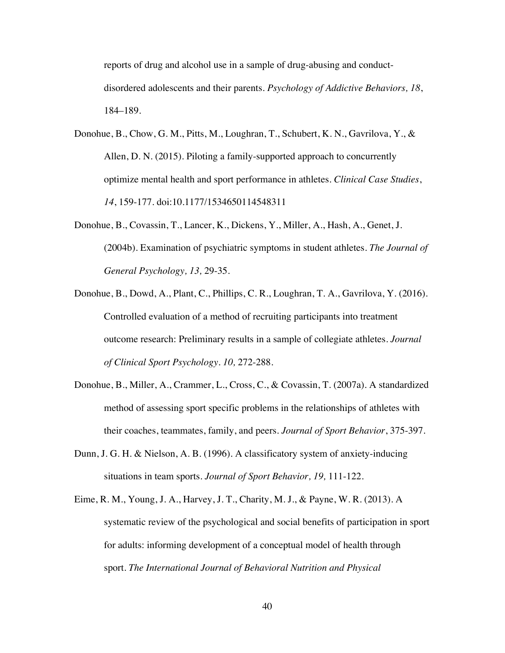reports of drug and alcohol use in a sample of drug-abusing and conductdisordered adolescents and their parents. *Psychology of Addictive Behaviors, 18*, 184–189.

- Donohue, B., Chow, G. M., Pitts, M., Loughran, T., Schubert, K. N., Gavrilova, Y., & Allen, D. N. (2015). Piloting a family-supported approach to concurrently optimize mental health and sport performance in athletes. *Clinical Case Studies*, *14*, 159-177. doi:10.1177/1534650114548311
- Donohue, B., Covassin, T., Lancer, K., Dickens, Y., Miller, A., Hash, A., Genet, J. (2004b). Examination of psychiatric symptoms in student athletes. *The Journal of General Psychology, 13,* 29-35.
- Donohue, B., Dowd, A., Plant, C., Phillips, C. R., Loughran, T. A., Gavrilova, Y. (2016). Controlled evaluation of a method of recruiting participants into treatment outcome research: Preliminary results in a sample of collegiate athletes. *Journal of Clinical Sport Psychology. 10,* 272-288.
- Donohue, B., Miller, A., Crammer, L., Cross, C., & Covassin, T. (2007a). A standardized method of assessing sport specific problems in the relationships of athletes with their coaches, teammates, family, and peers. *Journal of Sport Behavior*, 375-397.
- Dunn, J. G. H. & Nielson, A. B. (1996). A classificatory system of anxiety-inducing situations in team sports. *Journal of Sport Behavior, 19,* 111-122.
- Eime, R. M., Young, J. A., Harvey, J. T., Charity, M. J., & Payne, W. R. (2013). A systematic review of the psychological and social benefits of participation in sport for adults: informing development of a conceptual model of health through sport. *The International Journal of Behavioral Nutrition and Physical*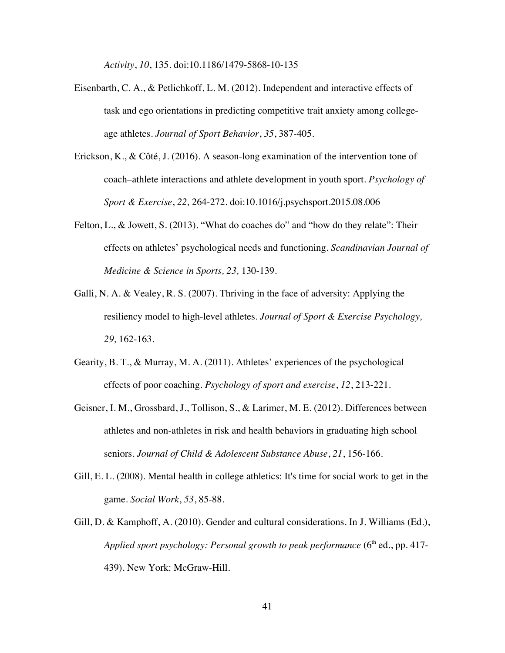*Activity*, *10*, 135. doi:10.1186/1479-5868-10-135

- Eisenbarth, C. A., & Petlichkoff, L. M. (2012). Independent and interactive effects of task and ego orientations in predicting competitive trait anxiety among collegeage athletes. *Journal of Sport Behavior*, *35*, 387-405.
- Erickson, K., & Côté, J. (2016). A season-long examination of the intervention tone of coach–athlete interactions and athlete development in youth sport. *Psychology of Sport & Exercise*, *22,* 264-272. doi:10.1016/j.psychsport.2015.08.006
- Felton, L., & Jowett, S. (2013). "What do coaches do" and "how do they relate": Their effects on athletes' psychological needs and functioning. *Scandinavian Journal of Medicine & Science in Sports, 23,* 130-139.
- Galli, N. A. & Vealey, R. S. (2007). Thriving in the face of adversity: Applying the resiliency model to high-level athletes. *Journal of Sport & Exercise Psychology, 29,* 162-163.
- Gearity, B. T., & Murray, M. A. (2011). Athletes' experiences of the psychological effects of poor coaching. *Psychology of sport and exercise*, *12*, 213-221.
- Geisner, I. M., Grossbard, J., Tollison, S., & Larimer, M. E. (2012). Differences between athletes and non-athletes in risk and health behaviors in graduating high school seniors. *Journal of Child & Adolescent Substance Abuse*, *21*, 156-166.
- Gill, E. L. (2008). Mental health in college athletics: It's time for social work to get in the game. *Social Work*, *53*, 85-88.
- Gill, D. & Kamphoff, A. (2010). Gender and cultural considerations. In J. Williams (Ed.), *Applied sport psychology: Personal growth to peak performance*  $(6<sup>th</sup>$  ed., pp. 417-439). New York: McGraw-Hill.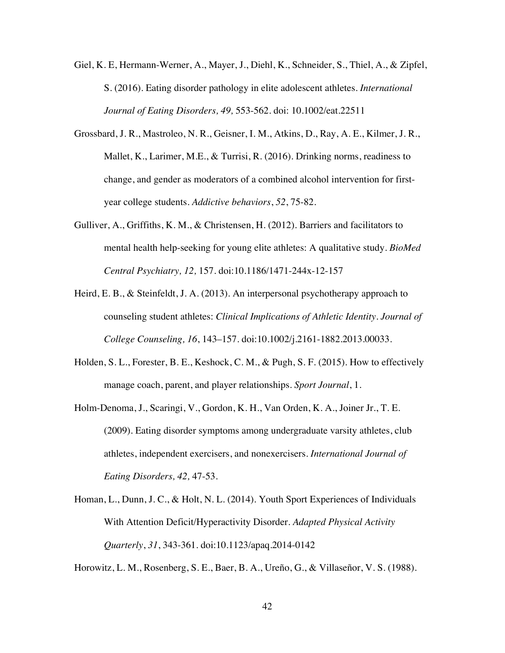- Giel, K. E, Hermann-Werner, A., Mayer, J., Diehl, K., Schneider, S., Thiel, A., & Zipfel, S. (2016). Eating disorder pathology in elite adolescent athletes. *International Journal of Eating Disorders, 49,* 553-562. doi: 10.1002/eat.22511
- Grossbard, J. R., Mastroleo, N. R., Geisner, I. M., Atkins, D., Ray, A. E., Kilmer, J. R., Mallet, K., Larimer, M.E., & Turrisi, R. (2016). Drinking norms, readiness to change, and gender as moderators of a combined alcohol intervention for firstyear college students. *Addictive behaviors*, *52*, 75-82.
- Gulliver, A., Griffiths, K. M., & Christensen, H. (2012). Barriers and facilitators to mental health help-seeking for young elite athletes: A qualitative study. *BioMed Central Psychiatry, 12,* 157. doi:10.1186/1471-244x-12-157
- Heird, E. B., & Steinfeldt, J. A. (2013). An interpersonal psychotherapy approach to counseling student athletes: *Clinical Implications of Athletic Identity. Journal of College Counseling, 16*, 143–157. doi:10.1002/j.2161-1882.2013.00033.
- Holden, S. L., Forester, B. E., Keshock, C. M., & Pugh, S. F. (2015). How to effectively manage coach, parent, and player relationships. *Sport Journal*, 1.
- Holm-Denoma, J., Scaringi, V., Gordon, K. H., Van Orden, K. A., Joiner Jr., T. E. (2009). Eating disorder symptoms among undergraduate varsity athletes, club athletes, independent exercisers, and nonexercisers. *International Journal of Eating Disorders, 42,* 47-53.
- Homan, L., Dunn, J. C., & Holt, N. L. (2014). Youth Sport Experiences of Individuals With Attention Deficit/Hyperactivity Disorder. *Adapted Physical Activity Quarterly*, *31*, 343-361. doi:10.1123/apaq.2014-0142

Horowitz, L. M., Rosenberg, S. E., Baer, B. A., Ureño, G., & Villaseñor, V. S. (1988).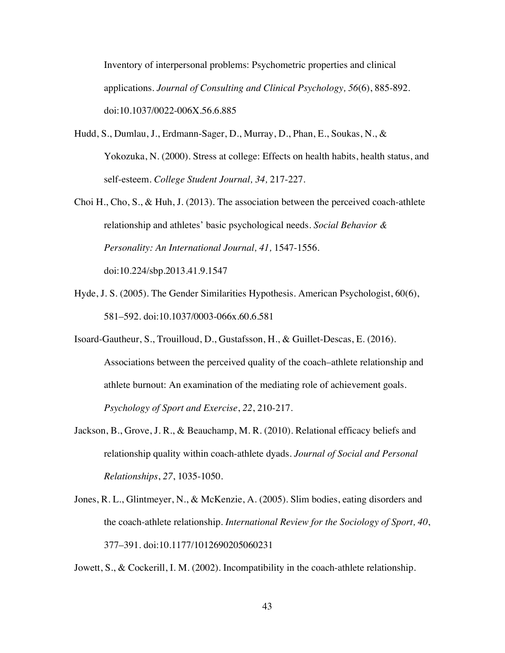Inventory of interpersonal problems: Psychometric properties and clinical applications. *Journal of Consulting and Clinical Psychology, 56*(6), 885-892. doi:10.1037/0022-006X.56.6.885

- Hudd, S., Dumlau, J., Erdmann-Sager, D., Murray, D., Phan, E., Soukas, N., & Yokozuka, N. (2000). Stress at college: Effects on health habits, health status, and self-esteem. *College Student Journal, 34,* 217-227.
- Choi H., Cho, S., & Huh, J. (2013). The association between the perceived coach-athlete relationship and athletes' basic psychological needs. *Social Behavior & Personality: An International Journal, 41,* 1547-1556. doi:10.224/sbp.2013.41.9.1547
- Hyde, J. S. (2005). The Gender Similarities Hypothesis. American Psychologist, 60(6), 581–592. doi:10.1037/0003-066x.60.6.581
- Isoard-Gautheur, S., Trouilloud, D., Gustafsson, H., & Guillet-Descas, E. (2016). Associations between the perceived quality of the coach–athlete relationship and athlete burnout: An examination of the mediating role of achievement goals. *Psychology of Sport and Exercise*, *22*, 210-217.
- Jackson, B., Grove, J. R., & Beauchamp, M. R. (2010). Relational efficacy beliefs and relationship quality within coach-athlete dyads. *Journal of Social and Personal Relationships*, *27*, 1035-1050.
- Jones, R. L., Glintmeyer, N., & McKenzie, A. (2005). Slim bodies, eating disorders and the coach-athlete relationship. *International Review for the Sociology of Sport, 40*, 377–391. doi:10.1177/1012690205060231

Jowett, S., & Cockerill, I. M. (2002). Incompatibility in the coach-athlete relationship.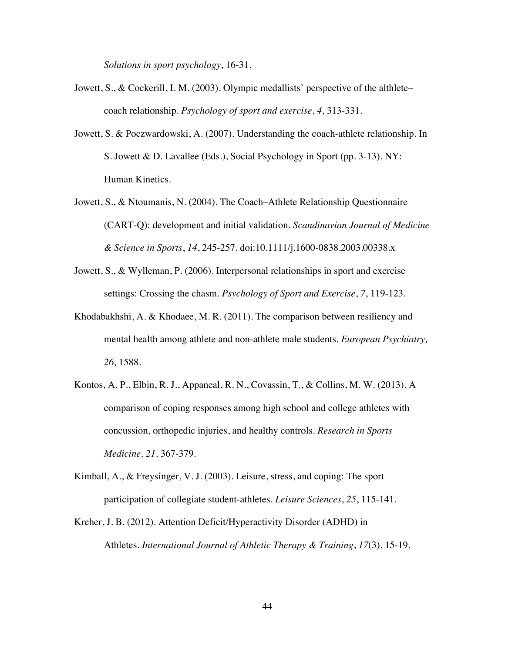*Solutions in sport psychology*, 16-31.

- Jowett, S., & Cockerill, I. M. (2003). Olympic medallists' perspective of the althlete– coach relationship. *Psychology of sport and exercise*, *4*, 313-331.
- Jowett, S. & Poczwardowski, A. (2007). Understanding the coach-athlete relationship. In S. Jowett & D. Lavallee (Eds.), Social Psychology in Sport (pp. 3-13). NY: Human Kinetics.
- Jowett, S., & Ntoumanis, N. (2004). The Coach–Athlete Relationship Questionnaire (CART-Q): development and initial validation. *Scandinavian Journal of Medicine & Science in Sports*, *14*, 245-257. doi:10.1111/j.1600-0838.2003.00338.x
- Jowett, S., & Wylleman, P. (2006). Interpersonal relationships in sport and exercise settings: Crossing the chasm. *Psychology of Sport and Exercise*, *7*, 119-123.
- Khodabakhshi, A. & Khodaee, M. R. (2011). The comparison between resiliency and mental health among athlete and non-athlete male students. *European Psychiatry, 26,* 1588.
- Kontos, A. P., Elbin, R. J., Appaneal, R. N., Covassin, T., & Collins, M. W. (2013). A comparison of coping responses among high school and college athletes with concussion, orthopedic injuries, and healthy controls. *Research in Sports Medicine, 21,* 367-379.
- Kimball, A., & Freysinger, V. J. (2003). Leisure, stress, and coping: The sport participation of collegiate student-athletes. *Leisure Sciences*, *25*, 115-141.
- Kreher, J. B. (2012). Attention Deficit/Hyperactivity Disorder (ADHD) in Athletes. *International Journal of Athletic Therapy & Training*, *17*(3), 15-19.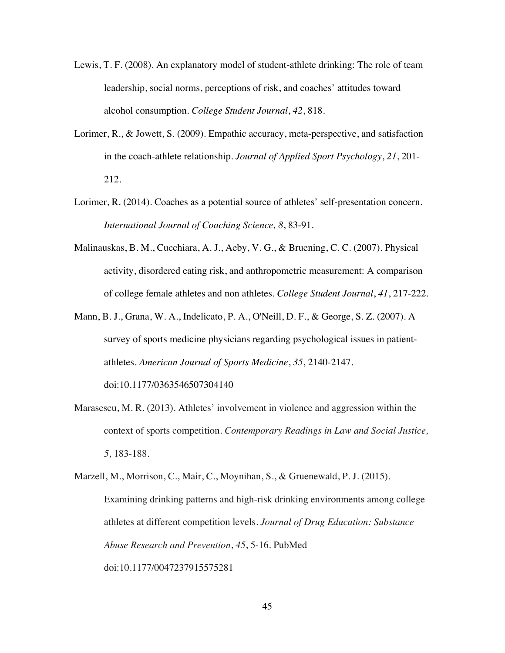- Lewis, T. F. (2008). An explanatory model of student-athlete drinking: The role of team leadership, social norms, perceptions of risk, and coaches' attitudes toward alcohol consumption. *College Student Journal*, *42*, 818.
- Lorimer, R., & Jowett, S. (2009). Empathic accuracy, meta-perspective, and satisfaction in the coach-athlete relationship. *Journal of Applied Sport Psychology*, *21*, 201- 212.
- Lorimer, R. (2014). Coaches as a potential source of athletes' self-presentation concern. *International Journal of Coaching Science, 8*, 83-91.
- Malinauskas, B. M., Cucchiara, A. J., Aeby, V. G., & Bruening, C. C. (2007). Physical activity, disordered eating risk, and anthropometric measurement: A comparison of college female athletes and non athletes. *College Student Journal*, *41*, 217-222.
- Mann, B. J., Grana, W. A., Indelicato, P. A., O'Neill, D. F., & George, S. Z. (2007). A survey of sports medicine physicians regarding psychological issues in patientathletes. *American Journal of Sports Medicine*, *35*, 2140-2147. doi:10.1177/0363546507304140
- Marasescu, M. R. (2013). Athletes' involvement in violence and aggression within the context of sports competition. *Contemporary Readings in Law and Social Justice, 5,* 183-188.

Marzell, M., Morrison, C., Mair, C., Moynihan, S., & Gruenewald, P. J. (2015). Examining drinking patterns and high-risk drinking environments among college athletes at different competition levels. *Journal of Drug Education: Substance Abuse Research and Prevention*, *45*, 5-16. PubMed doi:10.1177/0047237915575281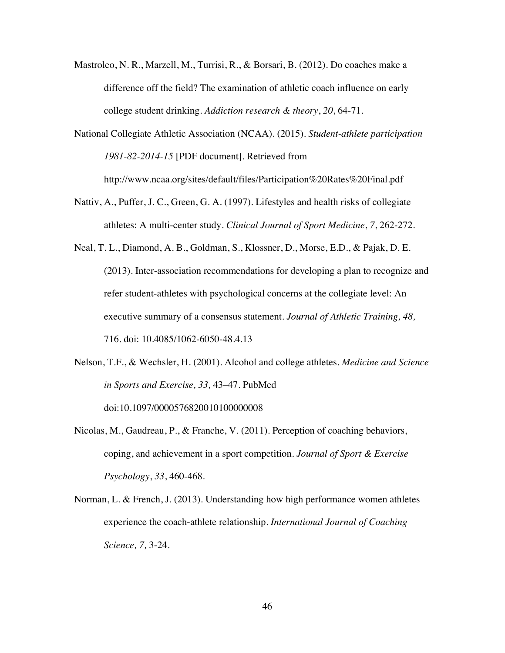- Mastroleo, N. R., Marzell, M., Turrisi, R., & Borsari, B. (2012). Do coaches make a difference off the field? The examination of athletic coach influence on early college student drinking. *Addiction research & theory*, *20*, 64-71.
- National Collegiate Athletic Association (NCAA). (2015). *Student-athlete participation 1981-82-2014-15* [PDF document]. Retrieved from http://www.ncaa.org/sites/default/files/Participation%20Rates%20Final.pdf
- Nattiv, A., Puffer, J. C., Green, G. A. (1997). Lifestyles and health risks of collegiate athletes: A multi-center study. *Clinical Journal of Sport Medicine*, *7*, 262-272.
- Neal, T. L., Diamond, A. B., Goldman, S., Klossner, D., Morse, E.D., & Pajak, D. E. (2013). Inter-association recommendations for developing a plan to recognize and refer student-athletes with psychological concerns at the collegiate level: An executive summary of a consensus statement. *Journal of Athletic Training, 48,* 716. doi: 10.4085/1062-6050-48.4.13
- Nelson, T.F., & Wechsler, H. (2001). Alcohol and college athletes. *Medicine and Science in Sports and Exercise, 33,* 43–47. PubMed doi:10.1097/0000576820010100000008
- Nicolas, M., Gaudreau, P., & Franche, V. (2011). Perception of coaching behaviors, coping, and achievement in a sport competition. *Journal of Sport & Exercise Psychology*, *33*, 460-468.
- Norman, L. & French, J. (2013). Understanding how high performance women athletes experience the coach-athlete relationship. *International Journal of Coaching Science, 7,* 3-24.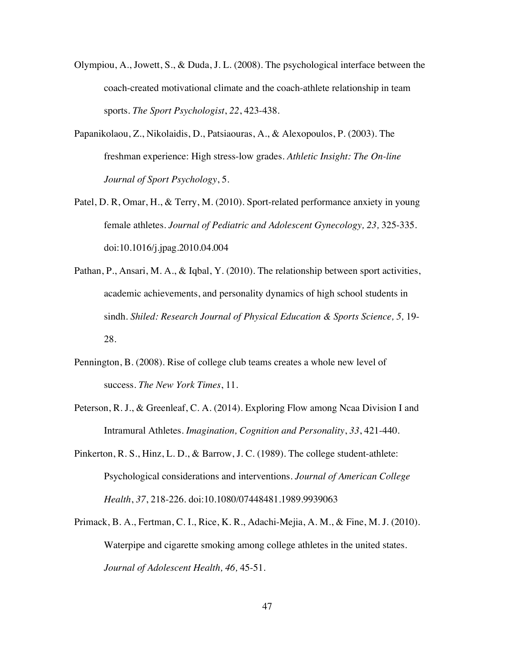- Olympiou, A., Jowett, S., & Duda, J. L. (2008). The psychological interface between the coach-created motivational climate and the coach-athlete relationship in team sports. *The Sport Psychologist*, *22*, 423-438.
- Papanikolaou, Z., Nikolaidis, D., Patsiaouras, A., & Alexopoulos, P. (2003). The freshman experience: High stress-low grades. *Athletic Insight: The On-line Journal of Sport Psychology*, 5.
- Patel, D. R, Omar, H., & Terry, M. (2010). Sport-related performance anxiety in young female athletes. *Journal of Pediatric and Adolescent Gynecology, 23,* 325-335. doi:10.1016/j.jpag.2010.04.004
- Pathan, P., Ansari, M. A., & Iqbal, Y. (2010). The relationship between sport activities, academic achievements, and personality dynamics of high school students in sindh. *Shiled: Research Journal of Physical Education & Sports Science, 5, 19-*28.
- Pennington, B. (2008). Rise of college club teams creates a whole new level of success. *The New York Times*, 11.
- Peterson, R. J., & Greenleaf, C. A. (2014). Exploring Flow among Ncaa Division I and Intramural Athletes. *Imagination, Cognition and Personality*, *33*, 421-440.
- Pinkerton, R. S., Hinz, L. D., & Barrow, J. C. (1989). The college student-athlete: Psychological considerations and interventions. *Journal of American College Health*, *37*, 218-226. doi:10.1080/07448481.1989.9939063
- Primack, B. A., Fertman, C. I., Rice, K. R., Adachi-Mejia, A. M., & Fine, M. J. (2010). Waterpipe and cigarette smoking among college athletes in the united states. *Journal of Adolescent Health, 46,* 45-51.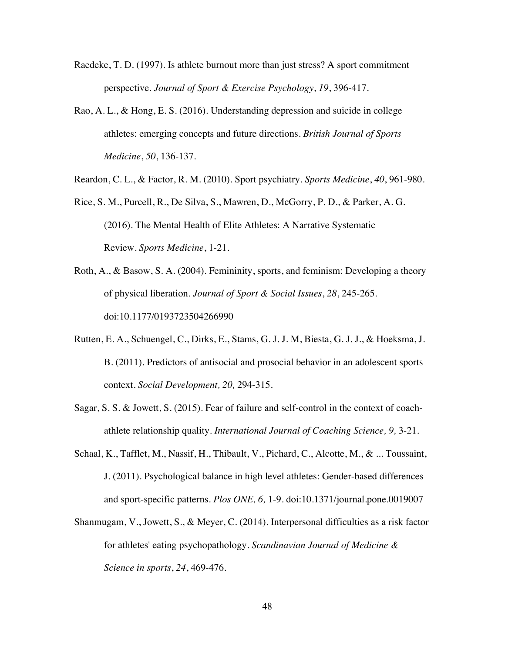- Raedeke, T. D. (1997). Is athlete burnout more than just stress? A sport commitment perspective. *Journal of Sport & Exercise Psychology*, *19*, 396-417.
- Rao, A. L., & Hong, E. S. (2016). Understanding depression and suicide in college athletes: emerging concepts and future directions. *British Journal of Sports Medicine*, *50*, 136-137.

Reardon, C. L., & Factor, R. M. (2010). Sport psychiatry. *Sports Medicine*, *40*, 961-980.

- Rice, S. M., Purcell, R., De Silva, S., Mawren, D., McGorry, P. D., & Parker, A. G. (2016). The Mental Health of Elite Athletes: A Narrative Systematic Review. *Sports Medicine*, 1-21.
- Roth, A., & Basow, S. A. (2004). Femininity, sports, and feminism: Developing a theory of physical liberation. *Journal of Sport & Social Issues*, *28*, 245-265. doi:10.1177/0193723504266990
- Rutten, E. A., Schuengel, C., Dirks, E., Stams, G. J. J. M, Biesta, G. J. J., & Hoeksma, J. B. (2011). Predictors of antisocial and prosocial behavior in an adolescent sports context. *Social Development, 20,* 294-315.
- Sagar, S. S. & Jowett, S. (2015). Fear of failure and self-control in the context of coachathlete relationship quality. *International Journal of Coaching Science, 9,* 3-21.
- Schaal, K., Tafflet, M., Nassif, H., Thibault, V., Pichard, C., Alcotte, M., & ... Toussaint, J. (2011). Psychological balance in high level athletes: Gender-based differences and sport-specific patterns. *Plos ONE, 6,* 1-9. doi:10.1371/journal.pone.0019007
- Shanmugam, V., Jowett, S., & Meyer, C. (2014). Interpersonal difficulties as a risk factor for athletes' eating psychopathology. *Scandinavian Journal of Medicine & Science in sports*, *24*, 469-476.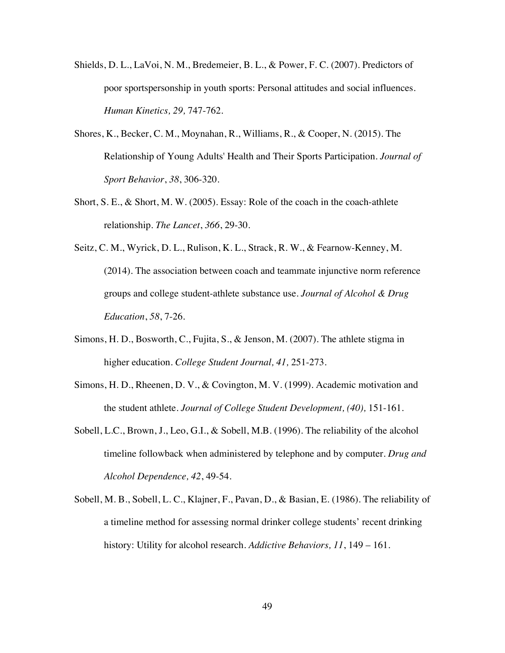- Shields, D. L., LaVoi, N. M., Bredemeier, B. L., & Power, F. C. (2007). Predictors of poor sportspersonship in youth sports: Personal attitudes and social influences. *Human Kinetics, 29,* 747-762*.*
- Shores, K., Becker, C. M., Moynahan, R., Williams, R., & Cooper, N. (2015). The Relationship of Young Adults' Health and Their Sports Participation. *Journal of Sport Behavior*, *38*, 306-320.
- Short, S. E., & Short, M. W. (2005). Essay: Role of the coach in the coach-athlete relationship. *The Lancet*, *366*, 29-30.
- Seitz, C. M., Wyrick, D. L., Rulison, K. L., Strack, R. W., & Fearnow-Kenney, M. (2014). The association between coach and teammate injunctive norm reference groups and college student-athlete substance use. *Journal of Alcohol & Drug Education*, *58*, 7-26.
- Simons, H. D., Bosworth, C., Fujita, S., & Jenson, M. (2007). The athlete stigma in higher education. *College Student Journal, 41,* 251-273.
- Simons, H. D., Rheenen, D. V., & Covington, M. V. (1999). Academic motivation and the student athlete*. Journal of College Student Development, (40),* 151-161*.*
- Sobell, L.C., Brown, J., Leo, G.I., & Sobell, M.B. (1996). The reliability of the alcohol timeline followback when administered by telephone and by computer. *Drug and Alcohol Dependence, 42*, 49-54.
- Sobell, M. B., Sobell, L. C., Klajner, F., Pavan, D., & Basian, E. (1986). The reliability of a timeline method for assessing normal drinker college students' recent drinking history: Utility for alcohol research. *Addictive Behaviors, 11*, 149 – 161.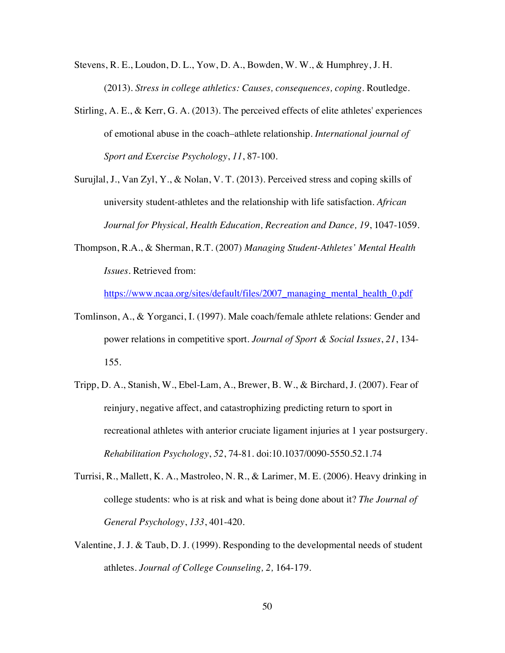- Stevens, R. E., Loudon, D. L., Yow, D. A., Bowden, W. W., & Humphrey, J. H. (2013). *Stress in college athletics: Causes, consequences, coping*. Routledge.
- Stirling, A. E., & Kerr, G. A. (2013). The perceived effects of elite athletes' experiences of emotional abuse in the coach–athlete relationship. *International journal of Sport and Exercise Psychology*, *11*, 87-100.
- Surujlal, J., Van Zyl, Y., & Nolan, V. T. (2013). Perceived stress and coping skills of university student-athletes and the relationship with life satisfaction. *African Journal for Physical, Health Education, Recreation and Dance, 19*, 1047-1059.
- Thompson, R.A., & Sherman, R.T. (2007) *Managing Student-Athletes' Mental Health Issues.* Retrieved from:

https://www.ncaa.org/sites/default/files/2007\_managing\_mental\_health\_0.pdf

- Tomlinson, A., & Yorganci, I. (1997). Male coach/female athlete relations: Gender and power relations in competitive sport. *Journal of Sport & Social Issues*, *21*, 134- 155.
- Tripp, D. A., Stanish, W., Ebel-Lam, A., Brewer, B. W., & Birchard, J. (2007). Fear of reinjury, negative affect, and catastrophizing predicting return to sport in recreational athletes with anterior cruciate ligament injuries at 1 year postsurgery. *Rehabilitation Psychology*, *52*, 74-81. doi:10.1037/0090-5550.52.1.74
- Turrisi, R., Mallett, K. A., Mastroleo, N. R., & Larimer, M. E. (2006). Heavy drinking in college students: who is at risk and what is being done about it? *The Journal of General Psychology*, *133*, 401-420.
- Valentine, J. J. & Taub, D. J. (1999). Responding to the developmental needs of student athletes. *Journal of College Counseling, 2,* 164-179.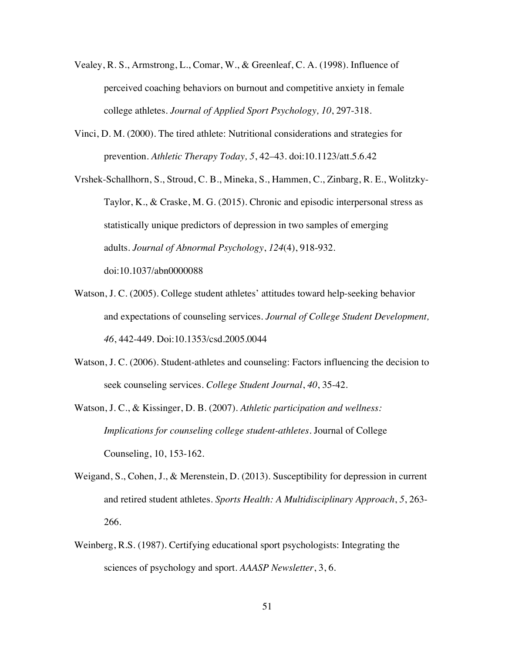- Vealey, R. S., Armstrong, L., Comar, W., & Greenleaf, C. A. (1998). Influence of perceived coaching behaviors on burnout and competitive anxiety in female college athletes. *Journal of Applied Sport Psychology, 10*, 297-318.
- Vinci, D. M. (2000). The tired athlete: Nutritional considerations and strategies for prevention. *Athletic Therapy Today, 5*, 42–43. doi:10.1123/att.5.6.42

Vrshek-Schallhorn, S., Stroud, C. B., Mineka, S., Hammen, C., Zinbarg, R. E., Wolitzky-Taylor, K., & Craske, M. G. (2015). Chronic and episodic interpersonal stress as statistically unique predictors of depression in two samples of emerging adults. *Journal of Abnormal Psychology*, *124*(4), 918-932. doi:10.1037/abn0000088

- Watson, J. C. (2005). College student athletes' attitudes toward help-seeking behavior and expectations of counseling services. *Journal of College Student Development, 46*, 442-449. Doi:10.1353/csd.2005.0044
- Watson, J. C. (2006). Student-athletes and counseling: Factors influencing the decision to seek counseling services. *College Student Journal*, *40*, 35-42.
- Watson, J. C., & Kissinger, D. B. (2007). *Athletic participation and wellness: Implications for counseling college student-athletes.* Journal of College Counseling, 10, 153-162.
- Weigand, S., Cohen, J., & Merenstein, D. (2013). Susceptibility for depression in current and retired student athletes. *Sports Health: A Multidisciplinary Approach*, *5*, 263- 266.
- Weinberg, R.S. (1987). Certifying educational sport psychologists: Integrating the sciences of psychology and sport. *AAASP Newsletter*, 3, 6.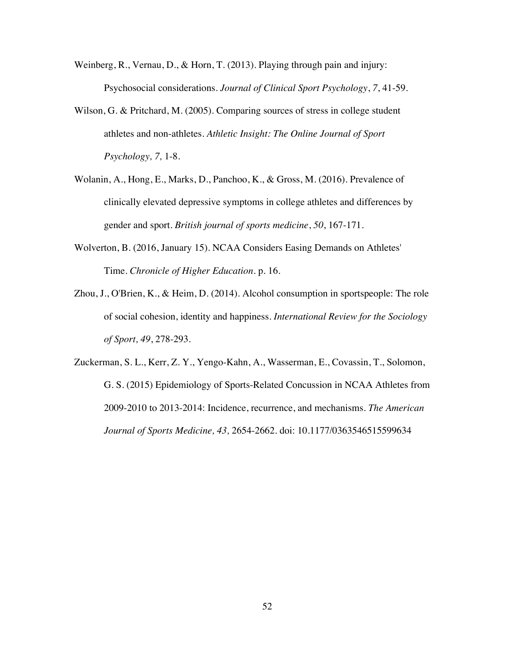- Weinberg, R., Vernau, D., & Horn, T. (2013). Playing through pain and injury: Psychosocial considerations. *Journal of Clinical Sport Psychology*, *7*, 41-59.
- Wilson, G. & Pritchard, M. (2005). Comparing sources of stress in college student athletes and non-athletes. *Athletic Insight: The Online Journal of Sport Psychology, 7,* 1-8.
- Wolanin, A., Hong, E., Marks, D., Panchoo, K., & Gross, M. (2016). Prevalence of clinically elevated depressive symptoms in college athletes and differences by gender and sport. *British journal of sports medicine*, *50*, 167-171.
- Wolverton, B. (2016, January 15). NCAA Considers Easing Demands on Athletes' Time. *Chronicle of Higher Education*. p. 16.
- Zhou, J., O'Brien, K., & Heim, D. (2014). Alcohol consumption in sportspeople: The role of social cohesion, identity and happiness. *International Review for the Sociology of Sport, 49*, 278-293.

Zuckerman, S. L., Kerr, Z. Y., Yengo-Kahn, A., Wasserman, E., Covassin, T., Solomon, G. S. (2015) Epidemiology of Sports-Related Concussion in NCAA Athletes from 2009-2010 to 2013-2014: Incidence, recurrence, and mechanisms. *The American Journal of Sports Medicine, 43,* 2654-2662. doi: 10.1177/0363546515599634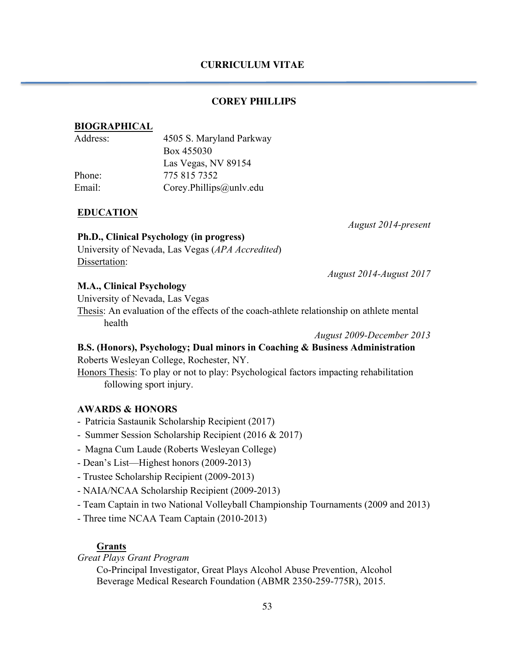## **CURRICULUM VITAE**

## **COREY PHILLIPS**

## **BIOGRAPHICAL**

| Address: | 4505 S. Maryland Parkway |
|----------|--------------------------|
|          | Box 455030               |
|          | Las Vegas, NV 89154      |
| Phone:   | 775 815 7352             |
| Email:   | Corey.Phillips@unlv.edu  |
|          |                          |

## **EDUCATION**

*August 2014-present*

## **Ph.D., Clinical Psychology (in progress)** University of Nevada, Las Vegas (*APA Accredited*) Dissertation:

*August 2014-August 2017*

## **M.A., Clinical Psychology**

University of Nevada, Las Vegas

Thesis: An evaluation of the effects of the coach-athlete relationship on athlete mental health

*August 2009-December 2013*

## **B.S. (Honors), Psychology; Dual minors in Coaching & Business Administration** Roberts Wesleyan College, Rochester, NY.

Honors Thesis: To play or not to play: Psychological factors impacting rehabilitation following sport injury.

## **AWARDS & HONORS**

- Patricia Sastaunik Scholarship Recipient (2017)
- Summer Session Scholarship Recipient (2016 & 2017)
- Magna Cum Laude (Roberts Wesleyan College)
- Dean's List—Highest honors (2009-2013)
- Trustee Scholarship Recipient (2009-2013)
- NAIA/NCAA Scholarship Recipient (2009-2013)
- Team Captain in two National Volleyball Championship Tournaments (2009 and 2013)
- Three time NCAA Team Captain (2010-2013)

## **Grants**

*Great Plays Grant Program*

Co-Principal Investigator, Great Plays Alcohol Abuse Prevention, Alcohol Beverage Medical Research Foundation (ABMR 2350-259-775R), 2015.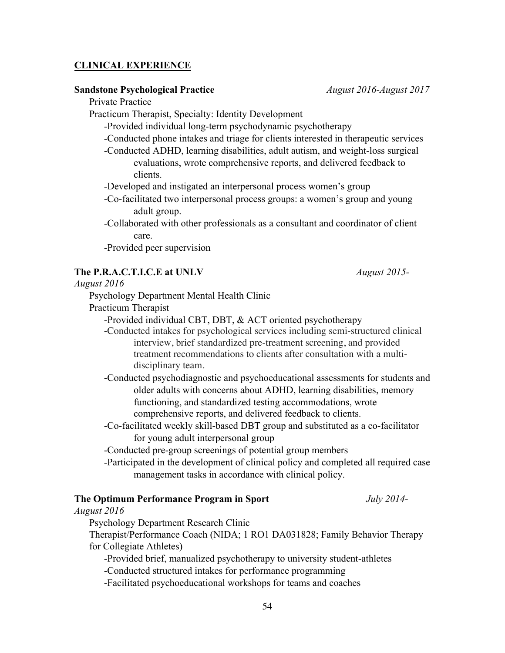### **CLINICAL EXPERIENCE**

#### **Sandstone Psychological Practice** *August 2016-August 2017*

Private Practice

Practicum Therapist, Specialty: Identity Development

-Provided individual long-term psychodynamic psychotherapy

-Conducted phone intakes and triage for clients interested in therapeutic services

-Conducted ADHD, learning disabilities, adult autism, and weight-loss surgical evaluations, wrote comprehensive reports, and delivered feedback to clients.

-Developed and instigated an interpersonal process women's group

-Co-facilitated two interpersonal process groups: a women's group and young adult group.

-Collaborated with other professionals as a consultant and coordinator of client care.

-Provided peer supervision

#### **The P.R.A.C.T.I.C.E at UNLV** *August 2015-*

*August 2016*

Psychology Department Mental Health Clinic

Practicum Therapist

-Provided individual CBT, DBT, & ACT oriented psychotherapy

-Conducted intakes for psychological services including semi-structured clinical interview, brief standardized pre-treatment screening, and provided treatment recommendations to clients after consultation with a multidisciplinary team.

-Conducted psychodiagnostic and psychoeducational assessments for students and older adults with concerns about ADHD, learning disabilities, memory functioning, and standardized testing accommodations, wrote comprehensive reports, and delivered feedback to clients.

-Co-facilitated weekly skill-based DBT group and substituted as a co-facilitator for young adult interpersonal group

-Conducted pre-group screenings of potential group members

-Participated in the development of clinical policy and completed all required case management tasks in accordance with clinical policy.

## **The Optimum Performance Program in Sport** *July 2014-*

*August 2016*

Psychology Department Research Clinic

Therapist/Performance Coach (NIDA; 1 RO1 DA031828; Family Behavior Therapy for Collegiate Athletes)

-Provided brief, manualized psychotherapy to university student-athletes

-Conducted structured intakes for performance programming

-Facilitated psychoeducational workshops for teams and coaches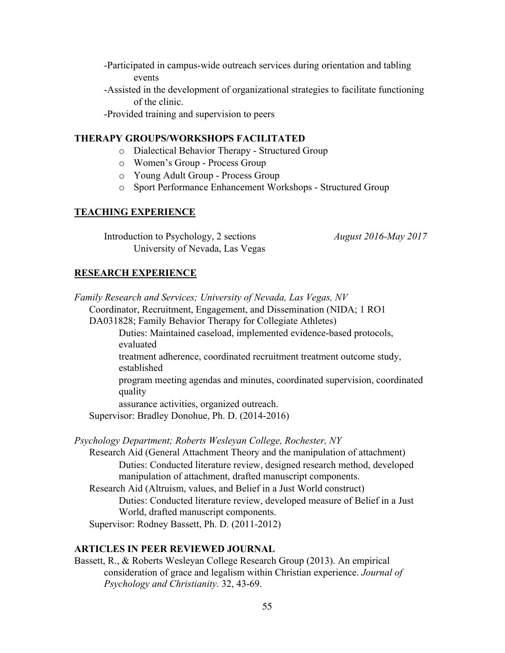- -Participated in campus-wide outreach services during orientation and tabling events
- -Assisted in the development of organizational strategies to facilitate functioning of the clinic.

-Provided training and supervision to peers

## **THERAPY GROUPS/WORKSHOPS FACILITATED**

- o Dialectical Behavior Therapy Structured Group
- o Women's Group Process Group
- o Young Adult Group Process Group
- o Sport Performance Enhancement Workshops Structured Group

### **TEACHING EXPERIENCE**

Introduction to Psychology, 2 sections*August 2016-May 2017* University of Nevada, Las Vegas

## **RESEARCH EXPERIENCE**

| Family Research and Services; University of Nevada, Las Vegas, NV                                                                      |
|----------------------------------------------------------------------------------------------------------------------------------------|
| Coordinator, Recruitment, Engagement, and Dissemination (NIDA; 1 RO1)                                                                  |
| DA031828; Family Behavior Therapy for Collegiate Athletes)                                                                             |
| Duties: Maintained caseload, implemented evidence-based protocols,                                                                     |
| evaluated                                                                                                                              |
| treatment adherence, coordinated recruitment treatment outcome study,<br>established                                                   |
| program meeting agendas and minutes, coordinated supervision, coordinated<br>quality                                                   |
| assurance activities, organized outreach.                                                                                              |
| Supervisor: Bradley Donohue, Ph. D. (2014-2016)                                                                                        |
| Psychology Department; Roberts Wesleyan College, Rochester, NY                                                                         |
| Research Aid (General Attachment Theory and the manipulation of attachment)                                                            |
| Duties: Conducted literature review, designed research method, developed<br>manipulation of attachment, drafted manuscript components. |
| Research Aid (Altruism, values, and Belief in a Just World construct)                                                                  |

Duties: Conducted literature review, developed measure of Belief in a Just World, drafted manuscript components.

Supervisor: Rodney Bassett, Ph. D. (2011-2012)

## **ARTICLES IN PEER REVIEWED JOURNAL**

Bassett, R., & Roberts Wesleyan College Research Group (2013). An empirical consideration of grace and legalism within Christian experience. *Journal of Psychology and Christianity*. 32, 43-69.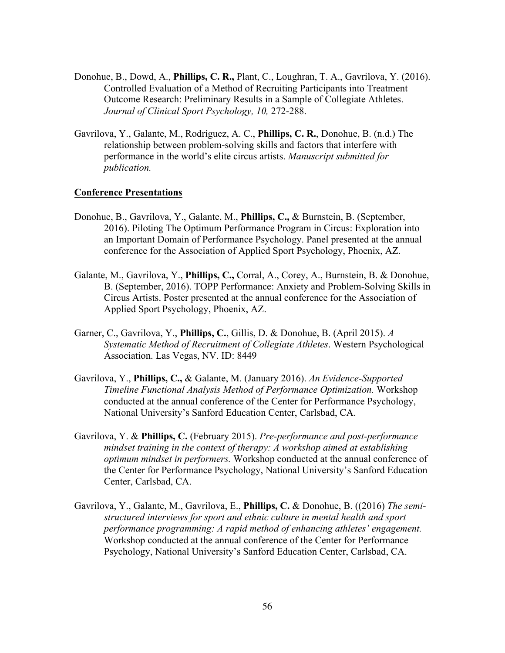- Donohue, B., Dowd, A., **Phillips, C. R.,** Plant, C., Loughran, T. A., Gavrilova, Y. (2016). Controlled Evaluation of a Method of Recruiting Participants into Treatment Outcome Research: Preliminary Results in a Sample of Collegiate Athletes. *Journal of Clinical Sport Psychology, 10,* 272-288.
- Gavrilova, Y., Galante, M., Rodríguez, A. C., **Phillips, C. R.**, Donohue, B. (n.d.) The relationship between problem-solving skills and factors that interfere with performance in the world's elite circus artists. *Manuscript submitted for publication.*

#### **Conference Presentations**

- Donohue, B., Gavrilova, Y., Galante, M., **Phillips, C.,** & Burnstein, B. (September, 2016). Piloting The Optimum Performance Program in Circus: Exploration into an Important Domain of Performance Psychology. Panel presented at the annual conference for the Association of Applied Sport Psychology, Phoenix, AZ.
- Galante, M., Gavrilova, Y., **Phillips, C.,** Corral, A., Corey, A., Burnstein, B. & Donohue, B. (September, 2016). TOPP Performance: Anxiety and Problem-Solving Skills in Circus Artists. Poster presented at the annual conference for the Association of Applied Sport Psychology, Phoenix, AZ.
- Garner, C., Gavrilova, Y., **Phillips, C.**, Gillis, D. & Donohue, B. (April 2015). *A Systematic Method of Recruitment of Collegiate Athletes*. Western Psychological Association. Las Vegas, NV. ID: 8449
- Gavrilova, Y., **Phillips, C.,** & Galante, M. (January 2016). *An Evidence-Supported Timeline Functional Analysis Method of Performance Optimization.* Workshop conducted at the annual conference of the Center for Performance Psychology, National University's Sanford Education Center, Carlsbad, CA.
- Gavrilova, Y. & **Phillips, C.** (February 2015). *Pre-performance and post-performance mindset training in the context of therapy: A workshop aimed at establishing optimum mindset in performers.* Workshop conducted at the annual conference of the Center for Performance Psychology, National University's Sanford Education Center, Carlsbad, CA.
- Gavrilova, Y., Galante, M., Gavrilova, E., **Phillips, C.** & Donohue, B. ((2016) *The semistructured interviews for sport and ethnic culture in mental health and sport performance programming: A rapid method of enhancing athletes' engagement.* Workshop conducted at the annual conference of the Center for Performance Psychology, National University's Sanford Education Center, Carlsbad, CA.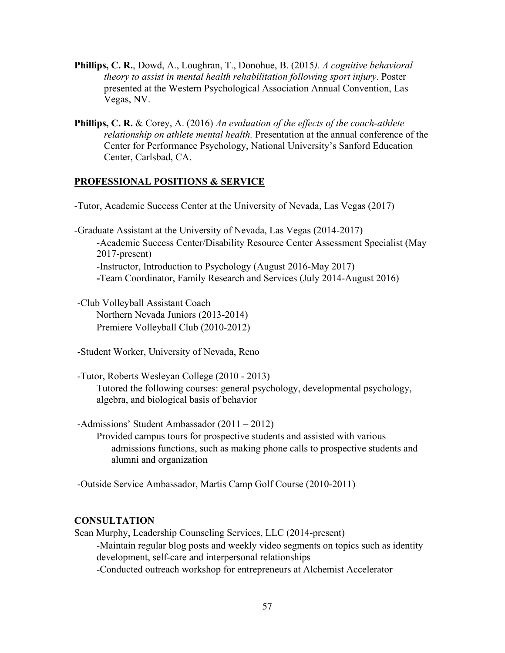- **Phillips, C. R.**, Dowd, A., Loughran, T., Donohue, B. (2015*). A cognitive behavioral theory to assist in mental health rehabilitation following sport injury*. Poster presented at the Western Psychological Association Annual Convention, Las Vegas, NV.
- **Phillips, C. R.** & Corey, A. (2016) *An evaluation of the effects of the coach-athlete relationship on athlete mental health.* Presentation at the annual conference of the Center for Performance Psychology, National University's Sanford Education Center, Carlsbad, CA.

#### **PROFESSIONAL POSITIONS & SERVICE**

-Tutor, Academic Success Center at the University of Nevada, Las Vegas (2017)

-Graduate Assistant at the University of Nevada, Las Vegas (2014-2017) -Academic Success Center/Disability Resource Center Assessment Specialist (May 2017-present) -Instructor, Introduction to Psychology (August 2016-May 2017) **-**Team Coordinator, Family Research and Services (July 2014-August 2016)

-Club Volleyball Assistant Coach Northern Nevada Juniors (2013-2014) Premiere Volleyball Club (2010-2012)

- -Student Worker, University of Nevada, Reno
- -Tutor, Roberts Wesleyan College (2010 2013) Tutored the following courses: general psychology, developmental psychology, algebra, and biological basis of behavior
- -Admissions' Student Ambassador (2011 2012) Provided campus tours for prospective students and assisted with various admissions functions, such as making phone calls to prospective students and alumni and organization

-Outside Service Ambassador, Martis Camp Golf Course (2010-2011)

## **CONSULTATION**

Sean Murphy, Leadership Counseling Services, LLC (2014-present) -Maintain regular blog posts and weekly video segments on topics such as identity development, self-care and interpersonal relationships -Conducted outreach workshop for entrepreneurs at Alchemist Accelerator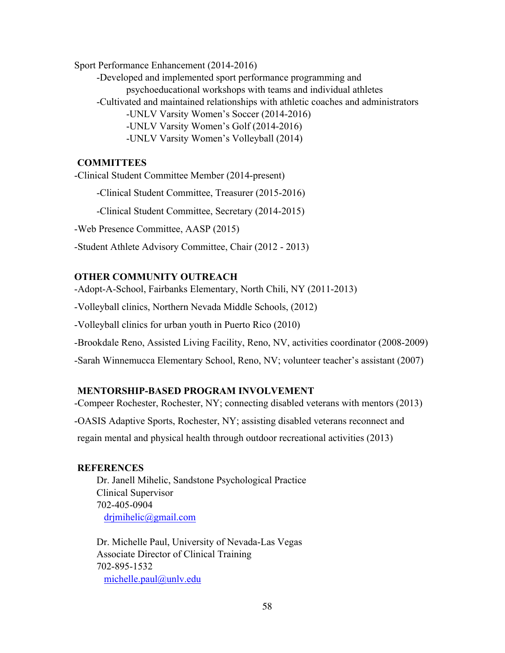Sport Performance Enhancement (2014-2016)

-Developed and implemented sport performance programming and psychoeducational workshops with teams and individual athletes -Cultivated and maintained relationships with athletic coaches and administrators -UNLV Varsity Women's Soccer (2014-2016) -UNLV Varsity Women's Golf (2014-2016) -UNLV Varsity Women's Volleyball (2014)

## **COMMITTEES**

-Clinical Student Committee Member (2014-present)

-Clinical Student Committee, Treasurer (2015-2016)

-Clinical Student Committee, Secretary (2014-2015)

-Web Presence Committee, AASP (2015)

-Student Athlete Advisory Committee, Chair (2012 - 2013)

## **OTHER COMMUNITY OUTREACH**

-Adopt-A-School, Fairbanks Elementary, North Chili, NY (2011-2013)

-Volleyball clinics, Northern Nevada Middle Schools, (2012)

-Volleyball clinics for urban youth in Puerto Rico (2010)

-Brookdale Reno, Assisted Living Facility, Reno, NV, activities coordinator (2008-2009)

-Sarah Winnemucca Elementary School, Reno, NV; volunteer teacher's assistant (2007)

## **MENTORSHIP-BASED PROGRAM INVOLVEMENT**

-Compeer Rochester, Rochester, NY; connecting disabled veterans with mentors (2013) -OASIS Adaptive Sports, Rochester, NY; assisting disabled veterans reconnect and regain mental and physical health through outdoor recreational activities (2013)

## **REFERENCES**

Dr. Janell Mihelic, Sandstone Psychological Practice Clinical Supervisor 702-405-0904 drjmihelic@gmail.com

Dr. Michelle Paul, University of Nevada-Las Vegas Associate Director of Clinical Training 702-895-1532 michelle.paul@unlv.edu